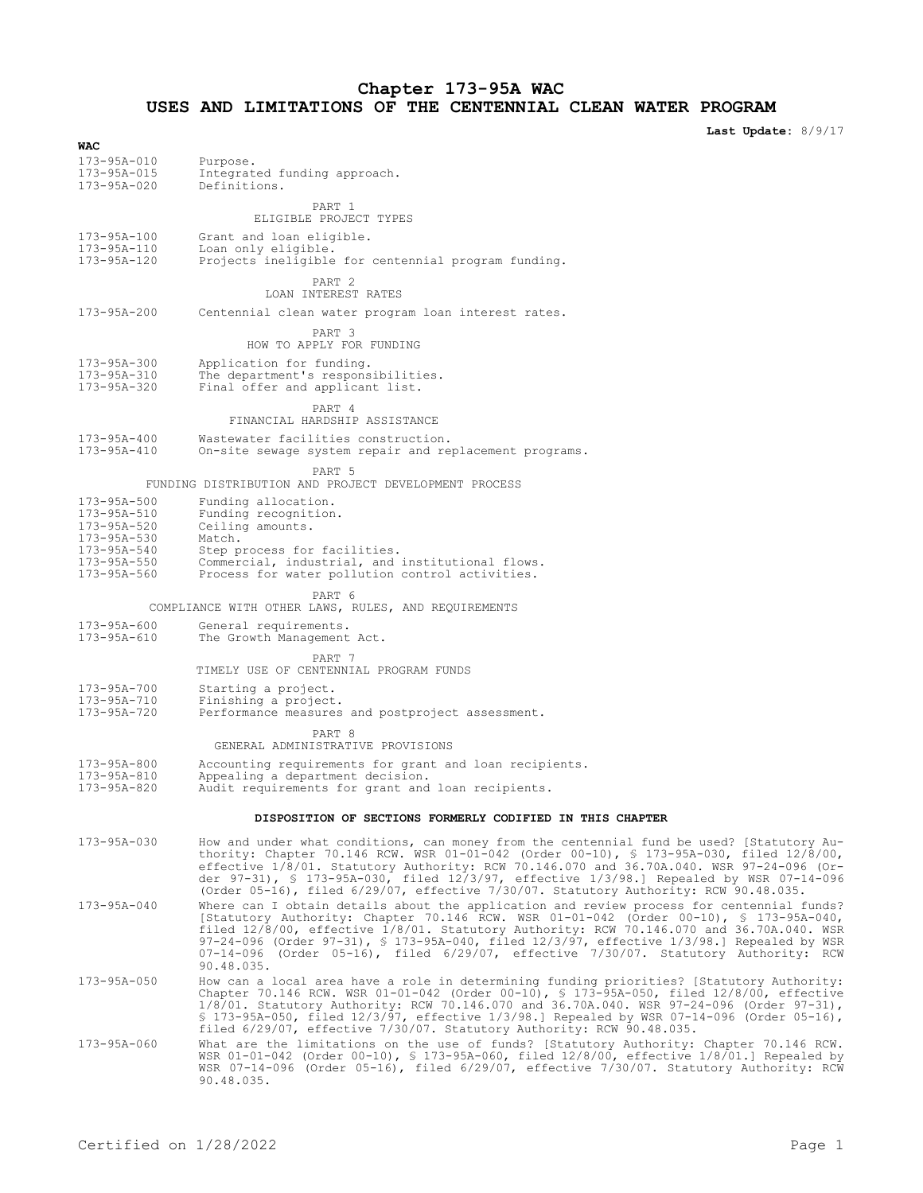### **Chapter 173-95A WAC USES AND LIMITATIONS OF THE CENTENNIAL CLEAN WATER PROGRAM**

**Last Update:** 8/9/17

| <br>173-95A-010<br>173-95A-015<br>173-95A-020 | Purpose.<br>Integrated funding approach.<br>Definitions.                                                                                                                                                                                                                                                                                                                                                                                                                                     |
|-----------------------------------------------|----------------------------------------------------------------------------------------------------------------------------------------------------------------------------------------------------------------------------------------------------------------------------------------------------------------------------------------------------------------------------------------------------------------------------------------------------------------------------------------------|
|                                               | PART 1<br>ELIGIBLE PROJECT TYPES                                                                                                                                                                                                                                                                                                                                                                                                                                                             |
| 173-95A-100<br>173-95A-110<br>173-95A-120     | Grant and loan eligible.<br>Loan only eligible.<br>Projects ineligible for centennial program funding.                                                                                                                                                                                                                                                                                                                                                                                       |
|                                               | PART 2<br>LOAN INTEREST RATES                                                                                                                                                                                                                                                                                                                                                                                                                                                                |
| $173 - 95A - 200$                             | Centennial clean water program loan interest rates.                                                                                                                                                                                                                                                                                                                                                                                                                                          |
|                                               | PART 3<br>HOW TO APPLY FOR FUNDING                                                                                                                                                                                                                                                                                                                                                                                                                                                           |
| 173-95A-300<br>173-95A-310<br>173-95A-320     | Application for funding.<br>The department's responsibilities.<br>Final offer and applicant list.                                                                                                                                                                                                                                                                                                                                                                                            |
|                                               | PART 4<br>FINANCIAL HARDSHIP ASSISTANCE                                                                                                                                                                                                                                                                                                                                                                                                                                                      |
| $173 - 95A - 400$<br>173-95A-410              | Wastewater facilities construction.<br>On-site sewage system repair and replacement programs.                                                                                                                                                                                                                                                                                                                                                                                                |
|                                               | PART <sub>5</sub><br>FUNDING DISTRIBUTION AND PROJECT DEVELOPMENT PROCESS                                                                                                                                                                                                                                                                                                                                                                                                                    |
| 173-95A-500                                   | Funding allocation.                                                                                                                                                                                                                                                                                                                                                                                                                                                                          |
| 173-95A-510<br>173-95A-520                    | Funding recognition.<br>Ceiling amounts.                                                                                                                                                                                                                                                                                                                                                                                                                                                     |
| 173-95A-530                                   | Match.                                                                                                                                                                                                                                                                                                                                                                                                                                                                                       |
| 173-95A-540                                   | Step process for facilities.                                                                                                                                                                                                                                                                                                                                                                                                                                                                 |
| 173-95A-550<br>173-95A-560                    | Commercial, industrial, and institutional flows.<br>Process for water pollution control activities.                                                                                                                                                                                                                                                                                                                                                                                          |
|                                               | PART 6<br>COMPLIANCE WITH OTHER LAWS, RULES, AND REQUIREMENTS                                                                                                                                                                                                                                                                                                                                                                                                                                |
| 173-95A-600<br>173-95A-610                    | General requirements.<br>The Growth Management Act.                                                                                                                                                                                                                                                                                                                                                                                                                                          |
|                                               | PART 7<br>TIMELY USE OF CENTENNIAL PROGRAM FUNDS                                                                                                                                                                                                                                                                                                                                                                                                                                             |
| 173-95A-700                                   | Starting a project.                                                                                                                                                                                                                                                                                                                                                                                                                                                                          |
| 173-95A-710<br>173-95A-720                    | Finishing a project.<br>Performance measures and postproject assessment.                                                                                                                                                                                                                                                                                                                                                                                                                     |
|                                               | PART 8<br>GENERAL ADMINISTRATIVE PROVISIONS                                                                                                                                                                                                                                                                                                                                                                                                                                                  |
| 173-95A-800                                   | Accounting requirements for grant and loan recipients.                                                                                                                                                                                                                                                                                                                                                                                                                                       |
| 173-95A-810<br>173-95A-820                    | Appealing a department decision.<br>Audit requirements for grant and loan recipients.                                                                                                                                                                                                                                                                                                                                                                                                        |
|                                               | DISPOSITION OF SECTIONS FORMERLY CODIFIED IN THIS CHAPTER                                                                                                                                                                                                                                                                                                                                                                                                                                    |
| 173-95A-030                                   | How and under what conditions, can money from the centennial fund be used? [Statutory Au-<br>thority: Chapter 70.146 RCW. WSR 01-01-042 (Order 00-10), § 173-95A-030, filed 12/8/00,<br>effective 1/8/01. Statutory Authority: RCW 70.146.070 and 36.70A.040. WSR 97-24-096 (Or-<br>der 97-31), § 173-95A-030, filed 12/3/97, effective 1/3/98.] Repealed by WSR 07-14-096<br>(Order 05-16), filed 6/29/07, effective 7/30/07. Statutory Authority: RCW 90.48.035.                           |
| 173-95A-040                                   | Where can I obtain details about the application and review process for centennial funds?<br>[Statutory Authority: Chapter 70.146 RCW. WSR 01-01-042 (Order 00-10), $\frac{1}{5}$ 173-95A-040,<br>filed 12/8/00, effective 1/8/01. Statutory Authority: RCW 70.146.070 and 36.70A.040. WSR<br>97-24-096 (Order 97-31), § 173-95A-040, filed 12/3/97, effective 1/3/98.] Repealed by WSR<br>07-14-096 (Order 05-16), filed 6/29/07, effective 7/30/07. Statutory Authority: RCW<br>90.48.035. |
| 173-95A-050                                   | How can a local area have a role in determining funding priorities? [Statutory Authority:<br>Chapter 70.146 RCW. WSR 01-01-042 (Order 00-10), § 173-95A-050, filed 12/8/00, effective<br>$1/8/01$ . Statutory Authority: RCW 70.146.070 and 36.70A.040. WSR 97-24-096 (Order 97-31),<br>$$173-95A-050$ , filed $12/3/97$ , effective $1/3/98$ .] Repealed by WSR 07-14-096 (Order 05-16),<br>filed 6/29/07, effective 7/30/07. Statutory Authority: RCW 90.48.035.                           |
| 173-95A-060                                   | What are the limitations on the use of funds? [Statutory Authority: Chapter 70.146 RCW.<br>WSR 01-01-042 (Order 00-10), § 173-95A-060, filed 12/8/00, effective 1/8/01.] Repealed by<br>WSR 07-14-096 (Order 05-16), filed 6/29/07, effective 7/30/07. Statutory Authority: RCW                                                                                                                                                                                                              |

90.48.035.

**WAC**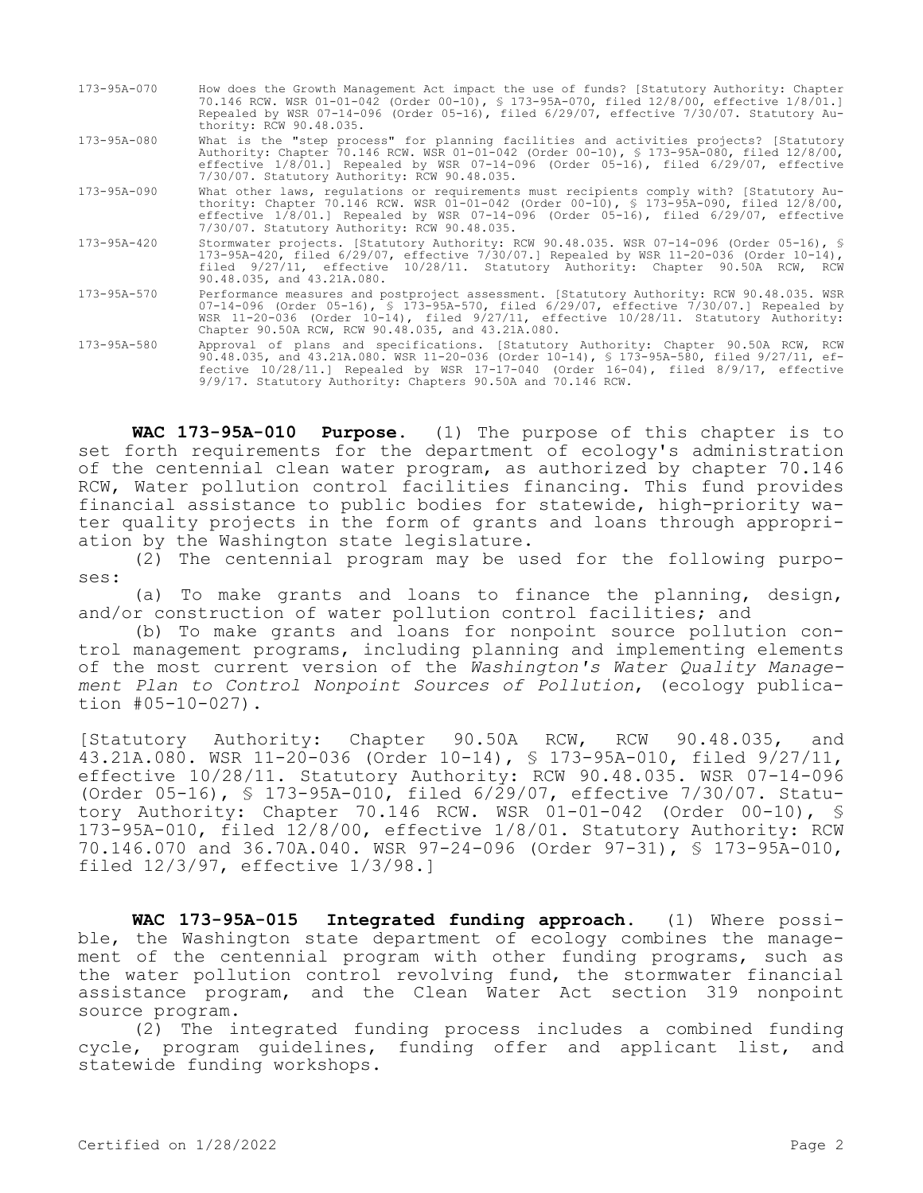173-95A-070 How does the Growth Management Act impact the use of funds? [Statutory Authority: Chapter 70.146 RCW. WSR 01-01-042 (Order 00-10), § 173-95A-070, filed 12/8/00, effective 1/8/01.] Repealed by WSR 07-14-096 (Order 05-16), filed 6/29/07, effective 7/30/07. Statutory Authority: RCW 90.48.035. 173-95A-080 What is the "step process" for planning facilities and activities projects? [Statutory Authority: Chapter 70.146 RCW. WSR 01-01-042 (Order 00-10), § 173-95A-080, filed 12/8/00, effective 1/8/01.] Repealed by WSR 07-14-096 (Order 05-16), filed 6/29/07, effective 7/30/07. Statutory Authority: RCW 90.48.035. 173-95A-090 What other laws, regulations or requirements must recipients comply with? [Statutory Authority: Chapter 70.146 RCW. WSR 01-01-042 (Order 00-10), § 173-95A-090, filed 12/8/00, effective 1/8/01.] Repealed by WSR 07-14-096 (Order 05-16), filed 6/29/07, effective 7/30/07. Statutory Authority: RCW 90.48.035. 173-95A-420 Stormwater projects. [Statutory Authority: RCW 90.48.035. WSR 07-14-096 (Order 05-16), § 173-95A-420, filed 6/29/07, effective 7/30/07.] Repealed by WSR 11-20-036 (Order 10-14), filed 9/27/11, effective 10/28/11. Statutory Authority: Chapter 90.50A RCW, RCW 90.48.035, and 43.21A.080. 173-95A-570 Performance measures and postproject assessment. [Statutory Authority: RCW 90.48.035. WSR 07-14-096 (Order 05-16), § 173-95A-570, filed 6/29/07, effective 7/30/07.] Repealed by WSR 11-20-036 (Order 10-14), filed 9/27/11, effective 10/28/11. Statutory Authority: Chapter 90.50A RCW, RCW 90.48.035, and 43.21A.080. 173-95A-580 Approval of plans and specifications. [Statutory Authority: Chapter 90.50A RCW, RCW 90.48.035, and 43.21A.080. WSR 11-20-036 (Order 10-14), § 173-95A-580, filed 9/27/11, effective 10/28/11.] Repealed by WSR 17-17-040 (Order 16-04), filed 8/9/17, effective 9/9/17. Statutory Authority: Chapters 90.50A and 70.146 RCW.

**WAC 173-95A-010 Purpose.** (1) The purpose of this chapter is to set forth requirements for the department of ecology's administration of the centennial clean water program, as authorized by chapter 70.146 RCW, Water pollution control facilities financing. This fund provides financial assistance to public bodies for statewide, high-priority water quality projects in the form of grants and loans through appropriation by the Washington state legislature.

(2) The centennial program may be used for the following purposes:

(a) To make grants and loans to finance the planning, design, and/or construction of water pollution control facilities; and

(b) To make grants and loans for nonpoint source pollution control management programs, including planning and implementing elements of the most current version of the *Washington's Water Quality Management Plan to Control Nonpoint Sources of Pollution*, (ecology publication #05-10-027).

[Statutory Authority: Chapter 90.50A RCW, RCW 90.48.035, and 43.21A.080. WSR 11-20-036 (Order 10-14), § 173-95A-010, filed 9/27/11, effective 10/28/11. Statutory Authority: RCW 90.48.035. WSR 07-14-096 (Order 05-16), § 173-95A-010, filed 6/29/07, effective 7/30/07. Statutory Authority: Chapter 70.146 RCW. WSR 01-01-042 (Order 00-10), § 173-95A-010, filed 12/8/00, effective 1/8/01. Statutory Authority: RCW 70.146.070 and 36.70A.040. WSR 97-24-096 (Order 97-31), § 173-95A-010, filed 12/3/97, effective 1/3/98.]

**WAC 173-95A-015 Integrated funding approach.** (1) Where possible, the Washington state department of ecology combines the management of the centennial program with other funding programs, such as the water pollution control revolving fund, the stormwater financial assistance program, and the Clean Water Act section 319 nonpoint source program.

(2) The integrated funding process includes a combined funding cycle, program guidelines, funding offer and applicant list, and statewide funding workshops.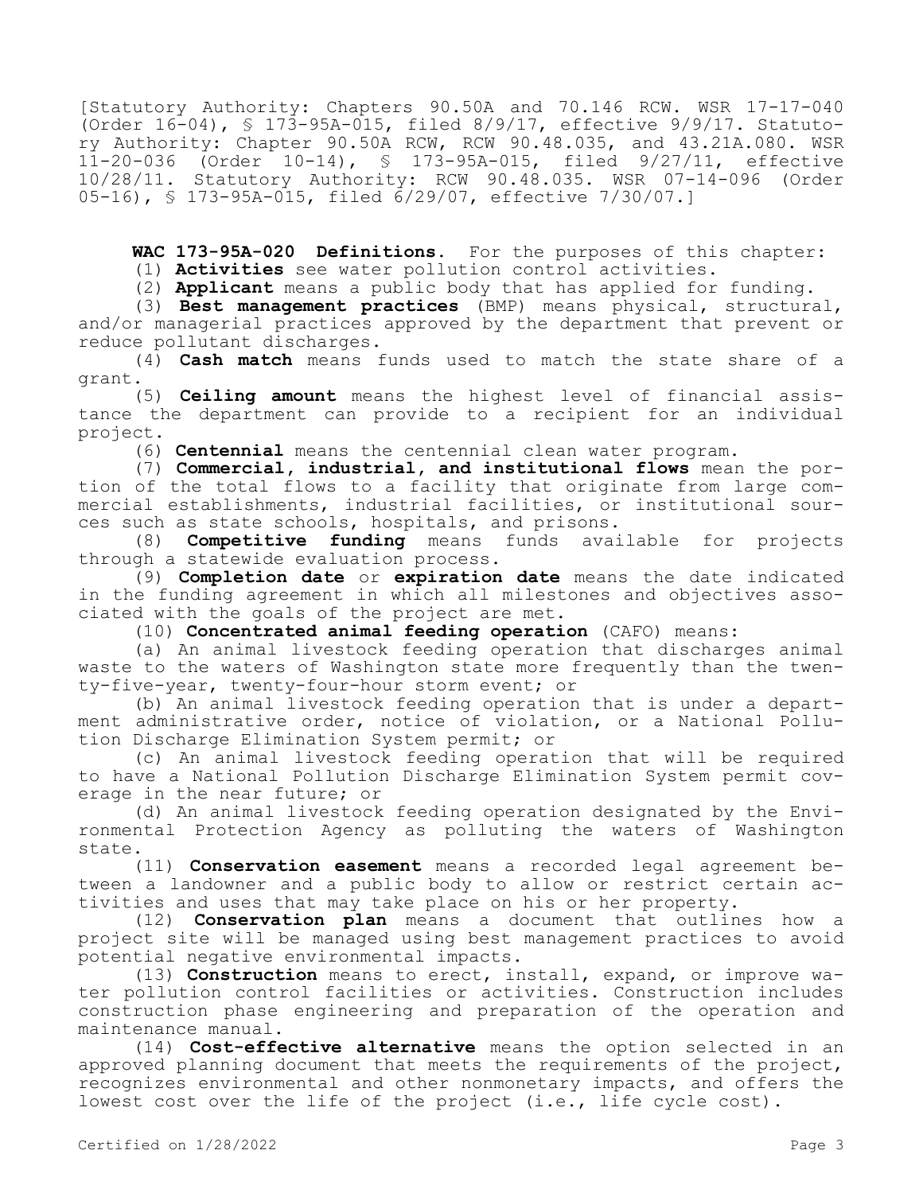[Statutory Authority: Chapters 90.50A and 70.146 RCW. WSR 17-17-040 (Order 16-04), § 173-95A-015, filed 8/9/17, effective 9/9/17. Statutory Authority: Chapter 90.50A RCW, RCW 90.48.035, and 43.21A.080. WSR 11-20-036 (Order 10-14), § 173-95A-015, filed 9/27/11, effective 10/28/11. Statutory Authority: RCW 90.48.035. WSR 07-14-096 (Order 05-16), § 173-95A-015, filed 6/29/07, effective 7/30/07.]

**WAC 173-95A-020 Definitions.** For the purposes of this chapter:

(1) **Activities** see water pollution control activities.

(2) **Applicant** means a public body that has applied for funding.

(3) **Best management practices** (BMP) means physical, structural, and/or managerial practices approved by the department that prevent or reduce pollutant discharges.

(4) **Cash match** means funds used to match the state share of a grant.

(5) **Ceiling amount** means the highest level of financial assistance the department can provide to a recipient for an individual project.

(6) **Centennial** means the centennial clean water program.

(7) **Commercial, industrial, and institutional flows** mean the portion of the total flows to a facility that originate from large commercial establishments, industrial facilities, or institutional sources such as state schools, hospitals, and prisons.<br>(8) **Competitive funding** means funds available for projects

(8) **Competitive funding** means through a statewide evaluation process.

(9) **Completion date** or **expiration date** means the date indicated in the funding agreement in which all milestones and objectives associated with the goals of the project are met.

(10) **Concentrated animal feeding operation** (CAFO) means:

(a) An animal livestock feeding operation that discharges animal waste to the waters of Washington state more frequently than the twenty-five-year, twenty-four-hour storm event; or

(b) An animal livestock feeding operation that is under a department administrative order, notice of violation, or a National Pollution Discharge Elimination System permit; or

(c) An animal livestock feeding operation that will be required to have a National Pollution Discharge Elimination System permit coverage in the near future; or

(d) An animal livestock feeding operation designated by the Environmental Protection Agency as polluting the waters of Washington state.

(11) **Conservation easement** means a recorded legal agreement between a landowner and a public body to allow or restrict certain activities and uses that may take place on his or her property.

(12) **Conservation plan** means a document that outlines how a project site will be managed using best management practices to avoid potential negative environmental impacts.

(13) **Construction** means to erect, install, expand, or improve water pollution control facilities or activities. Construction includes construction phase engineering and preparation of the operation and maintenance manual.

(14) **Cost-effective alternative** means the option selected in an approved planning document that meets the requirements of the project, recognizes environmental and other nonmonetary impacts, and offers the lowest cost over the life of the project (i.e., life cycle cost).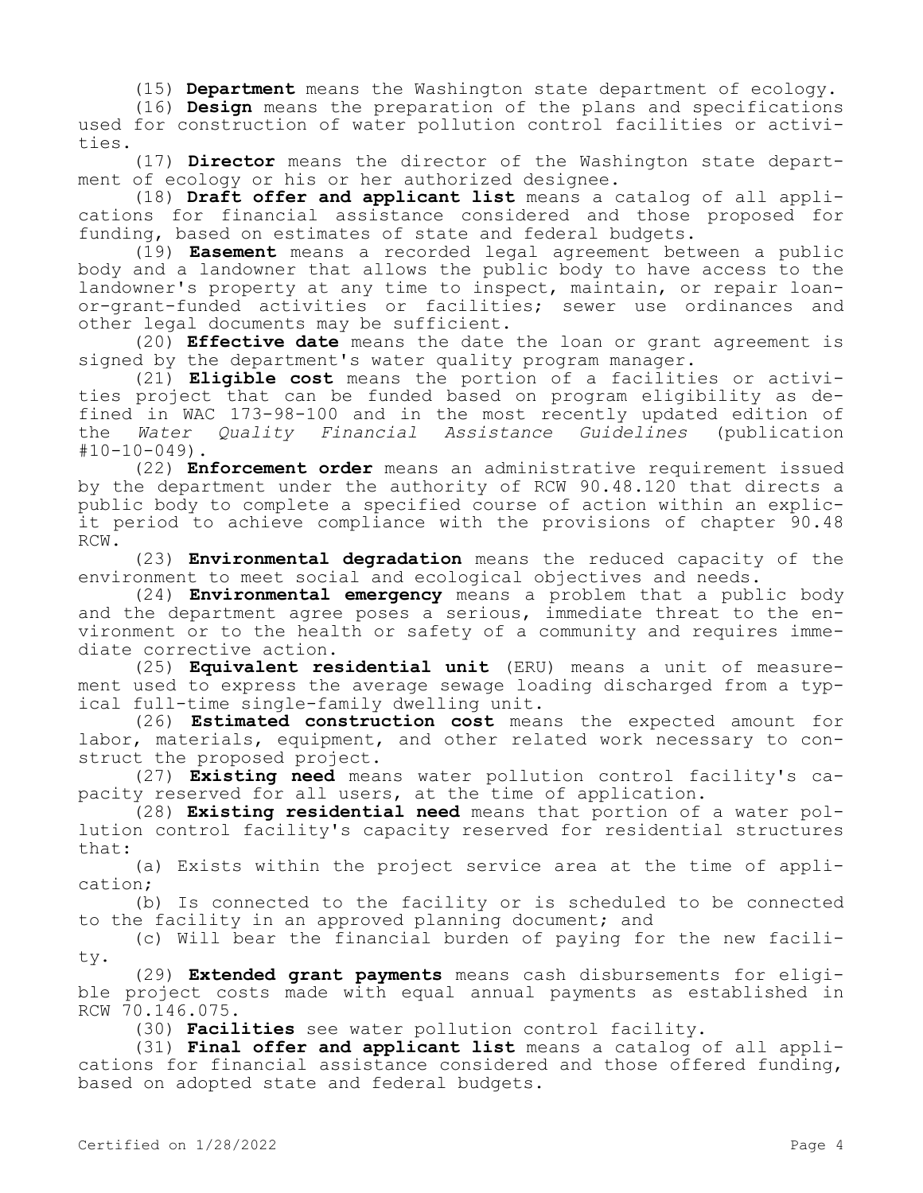(15) **Department** means the Washington state department of ecology.

(16) **Design** means the preparation of the plans and specifications used for construction of water pollution control facilities or activities.

(17) **Director** means the director of the Washington state department of ecology or his or her authorized designee.

(18) **Draft offer and applicant list** means a catalog of all applications for financial assistance considered and those proposed for funding, based on estimates of state and federal budgets.

(19) **Easement** means a recorded legal agreement between a public body and a landowner that allows the public body to have access to the landowner's property at any time to inspect, maintain, or repair loanor-grant-funded activities or facilities; sewer use ordinances and other legal documents may be sufficient.

(20) **Effective date** means the date the loan or grant agreement is signed by the department's water quality program manager.

(21) **Eligible cost** means the portion of a facilities or activities project that can be funded based on program eligibility as defined in WAC 173-98-100 and in the most recently updated edition of the *Water Quality Financial Assistance Guidelines* (publication  $#10-10-049$ ).

(22) **Enforcement order** means an administrative requirement issued by the department under the authority of RCW 90.48.120 that directs a public body to complete a specified course of action within an explicit period to achieve compliance with the provisions of chapter 90.48 RCW.

(23) **Environmental degradation** means the reduced capacity of the environment to meet social and ecological objectives and needs.

(24) **Environmental emergency** means a problem that a public body and the department agree poses a serious, immediate threat to the environment or to the health or safety of a community and requires immediate corrective action.

(25) **Equivalent residential unit** (ERU) means a unit of measurement used to express the average sewage loading discharged from a typical full-time single-family dwelling unit.

(26) **Estimated construction cost** means the expected amount for labor, materials, equipment, and other related work necessary to construct the proposed project.

(27) **Existing need** means water pollution control facility's capacity reserved for all users, at the time of application.

(28) **Existing residential need** means that portion of a water pollution control facility's capacity reserved for residential structures that:

(a) Exists within the project service area at the time of application;

(b) Is connected to the facility or is scheduled to be connected to the facility in an approved planning document; and

(c) Will bear the financial burden of paying for the new facility.

(29) **Extended grant payments** means cash disbursements for eligible project costs made with equal annual payments as established in RCW 70.146.075.

(30) **Facilities** see water pollution control facility.

(31) **Final offer and applicant list** means a catalog of all applications for financial assistance considered and those offered funding, based on adopted state and federal budgets.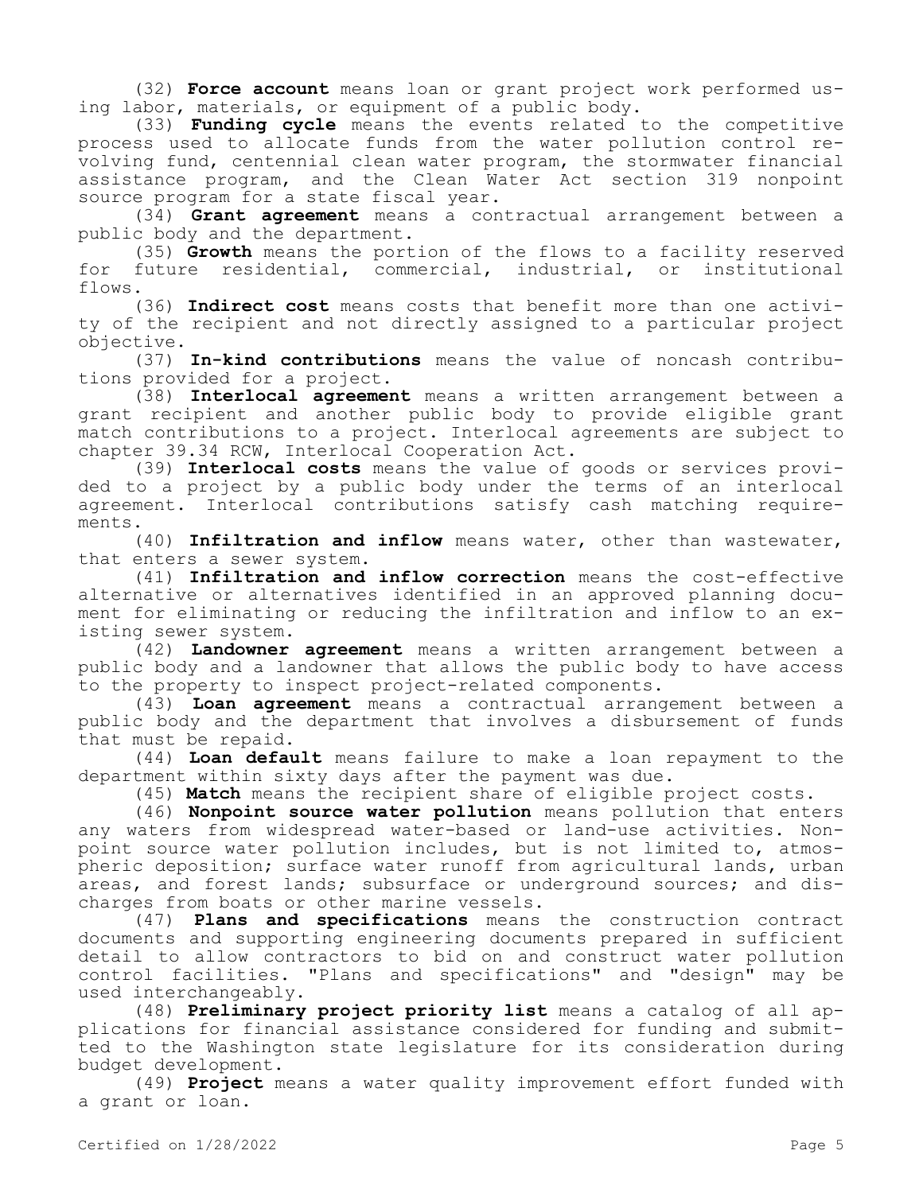(32) **Force account** means loan or grant project work performed using labor, materials, or equipment of a public body.

(33) **Funding cycle** means the events related to the competitive process used to allocate funds from the water pollution control revolving fund, centennial clean water program, the stormwater financial assistance program, and the Clean Water Act section 319 nonpoint source program for a state fiscal year.

(34) **Grant agreement** means a contractual arrangement between a public body and the department.

(35) **Growth** means the portion of the flows to a facility reserved for future residential, commercial, industrial, or institutional flows.

(36) **Indirect cost** means costs that benefit more than one activity of the recipient and not directly assigned to a particular project objective.

(37) **In-kind contributions** means the value of noncash contributions provided for a project.

(38) **Interlocal agreement** means a written arrangement between a grant recipient and another public body to provide eligible grant match contributions to a project. Interlocal agreements are subject to chapter 39.34 RCW, Interlocal Cooperation Act.

(39) **Interlocal costs** means the value of goods or services provided to a project by a public body under the terms of an interlocal agreement. Interlocal contributions satisfy cash matching requirements.

(40) **Infiltration and inflow** means water, other than wastewater, that enters a sewer system.

(41) **Infiltration and inflow correction** means the cost-effective alternative or alternatives identified in an approved planning document for eliminating or reducing the infiltration and inflow to an existing sewer system.

(42) **Landowner agreement** means a written arrangement between a public body and a landowner that allows the public body to have access to the property to inspect project-related components.

(43) **Loan agreement** means a contractual arrangement between a public body and the department that involves a disbursement of funds that must be repaid.

(44) **Loan default** means failure to make a loan repayment to the department within sixty days after the payment was due.

(45) **Match** means the recipient share of eligible project costs.

(46) **Nonpoint source water pollution** means pollution that enters any waters from widespread water-based or land-use activities. Nonpoint source water pollution includes, but is not limited to, atmospheric deposition; surface water runoff from agricultural lands, urban areas, and forest lands; subsurface or underground sources; and discharges from boats or other marine vessels.

(47) **Plans and specifications** means the construction contract documents and supporting engineering documents prepared in sufficient detail to allow contractors to bid on and construct water pollution control facilities. "Plans and specifications" and "design" may be used interchangeably.

(48) **Preliminary project priority list** means a catalog of all applications for financial assistance considered for funding and submitted to the Washington state legislature for its consideration during budget development.

(49) **Project** means a water quality improvement effort funded with a grant or loan.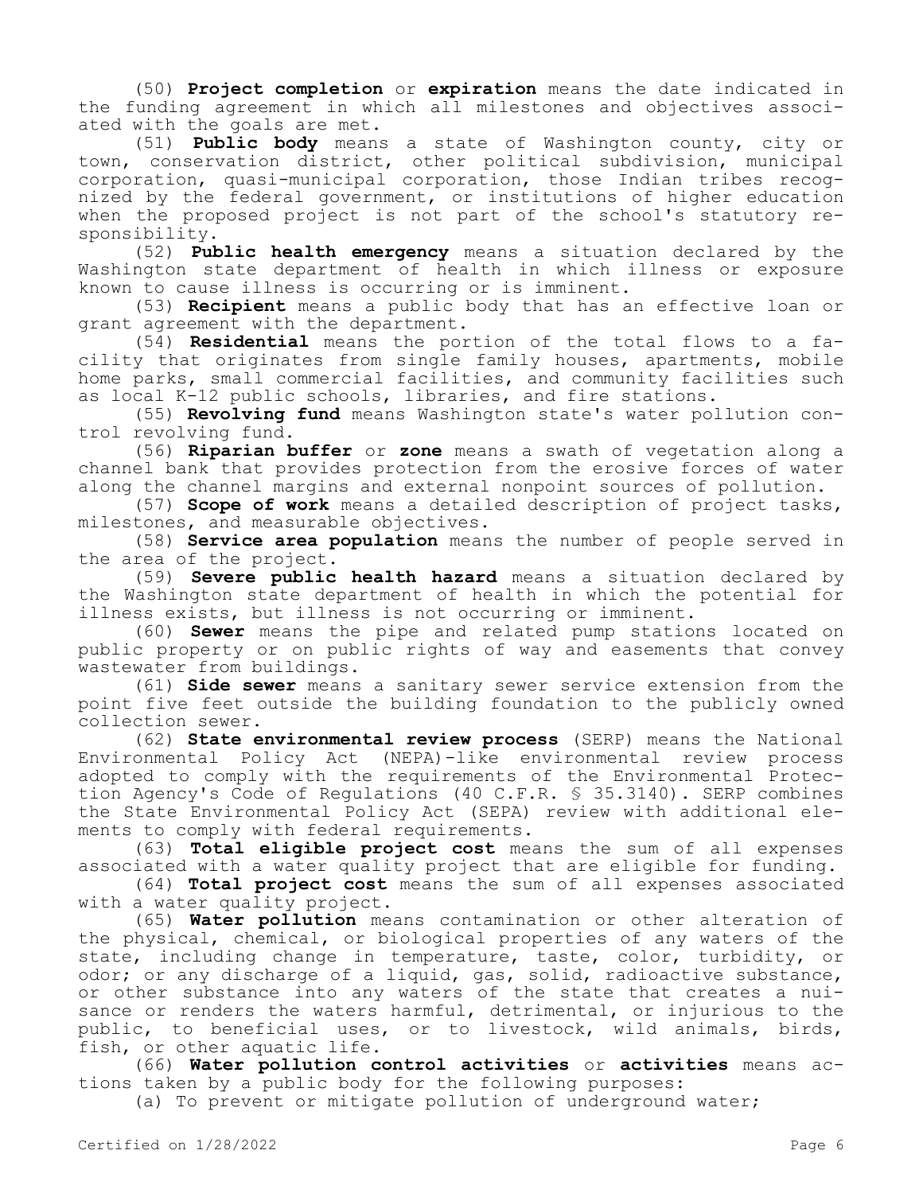(50) **Project completion** or **expiration** means the date indicated in the funding agreement in which all milestones and objectives associated with the goals are met.

(51) **Public body** means a state of Washington county, city or town, conservation district, other political subdivision, municipal corporation, quasi-municipal corporation, those Indian tribes recognized by the federal government, or institutions of higher education when the proposed project is not part of the school's statutory responsibility.

(52) **Public health emergency** means a situation declared by the Washington state department of health in which illness or exposure known to cause illness is occurring or is imminent.

(53) **Recipient** means a public body that has an effective loan or grant agreement with the department.

(54) **Residential** means the portion of the total flows to a facility that originates from single family houses, apartments, mobile home parks, small commercial facilities, and community facilities such as local K-12 public schools, libraries, and fire stations.

(55) **Revolving fund** means Washington state's water pollution control revolving fund.

(56) **Riparian buffer** or **zone** means a swath of vegetation along a channel bank that provides protection from the erosive forces of water along the channel margins and external nonpoint sources of pollution.

(57) **Scope of work** means a detailed description of project tasks, milestones, and measurable objectives.

(58) **Service area population** means the number of people served in the area of the project.

(59) **Severe public health hazard** means a situation declared by the Washington state department of health in which the potential for illness exists, but illness is not occurring or imminent.

(60) **Sewer** means the pipe and related pump stations located on public property or on public rights of way and easements that convey wastewater from buildings.

(61) **Side sewer** means a sanitary sewer service extension from the point five feet outside the building foundation to the publicly owned collection sewer.

(62) **State environmental review process** (SERP) means the National Environmental Policy Act (NEPA)-like environmental review process adopted to comply with the requirements of the Environmental Protection Agency's Code of Regulations (40 C.F.R. § 35.3140). SERP combines the State Environmental Policy Act (SEPA) review with additional elements to comply with federal requirements.

(63) **Total eligible project cost** means the sum of all expenses associated with a water quality project that are eligible for funding.

(64) **Total project cost** means the sum of all expenses associated with a water quality project.

(65) **Water pollution** means contamination or other alteration of the physical, chemical, or biological properties of any waters of the state, including change in temperature, taste, color, turbidity, or odor; or any discharge of a liquid, gas, solid, radioactive substance, or other substance into any waters of the state that creates a nuisance or renders the waters harmful, detrimental, or injurious to the public, to beneficial uses, or to livestock, wild animals, birds, fish, or other aquatic life.

(66) **Water pollution control activities** or **activities** means actions taken by a public body for the following purposes:

(a) To prevent or mitigate pollution of underground water;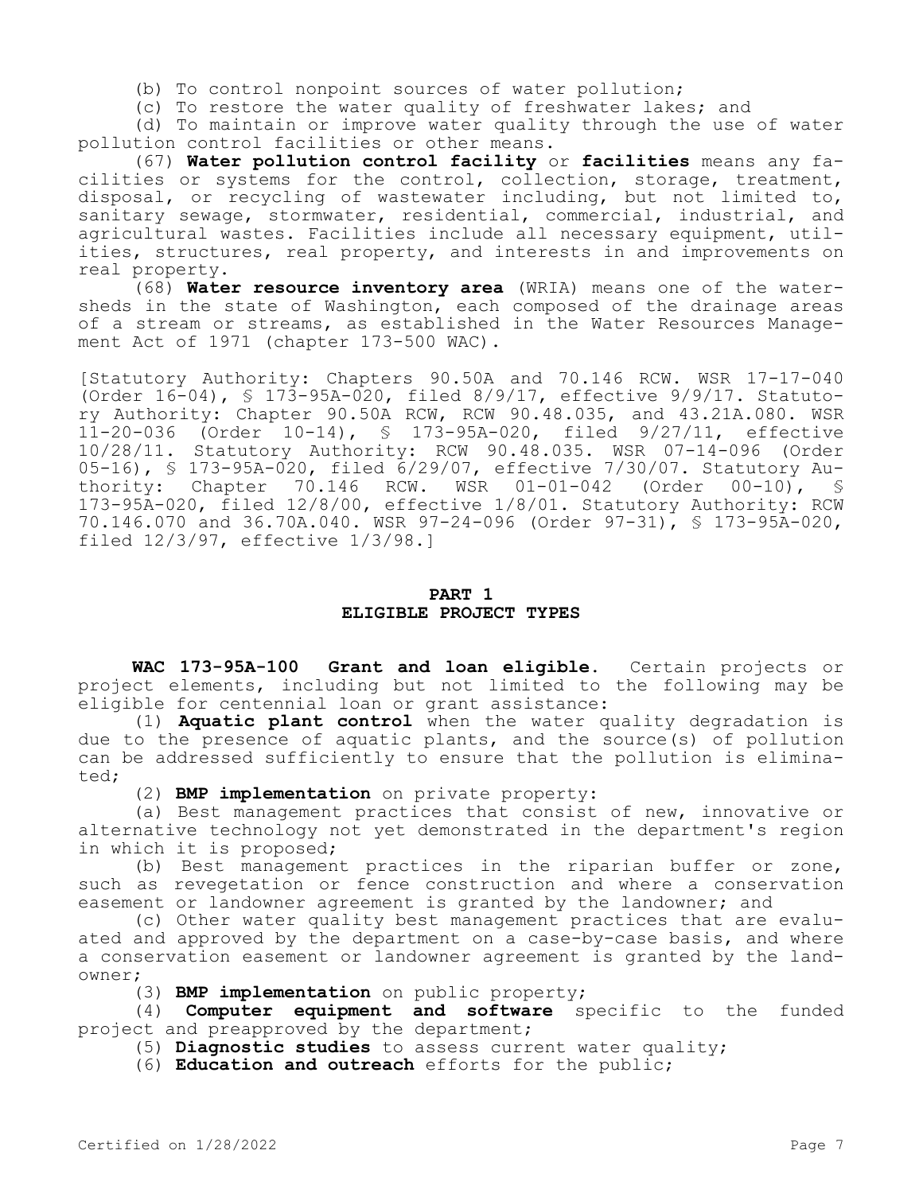(b) To control nonpoint sources of water pollution;

(c) To restore the water quality of freshwater lakes; and

(d) To maintain or improve water quality through the use of water pollution control facilities or other means.

(67) **Water pollution control facility** or **facilities** means any facilities or systems for the control, collection, storage, treatment, disposal, or recycling of wastewater including, but not limited to, sanitary sewage, stormwater, residential, commercial, industrial, and agricultural wastes. Facilities include all necessary equipment, utilities, structures, real property, and interests in and improvements on real property.

(68) **Water resource inventory area** (WRIA) means one of the watersheds in the state of Washington, each composed of the drainage areas of a stream or streams, as established in the Water Resources Management Act of 1971 (chapter 173-500 WAC).

[Statutory Authority: Chapters 90.50A and 70.146 RCW. WSR 17-17-040 (Order 16-04), § 173-95A-020, filed 8/9/17, effective 9/9/17. Statutory Authority: Chapter 90.50A RCW, RCW 90.48.035, and 43.21A.080. WSR 11-20-036 (Order 10-14), § 173-95A-020, filed 9/27/11, effective 10/28/11. Statutory Authority: RCW 90.48.035. WSR 07-14-096 (Order 05-16), § 173-95A-020, filed 6/29/07, effective 7/30/07. Statutory Authority: Chapter 70.146 RCW. WSR 01-01-042 (Order 00-10), § 173-95A-020, filed 12/8/00, effective 1/8/01. Statutory Authority: RCW 70.146.070 and 36.70A.040. WSR 97-24-096 (Order 97-31), § 173-95A-020, filed 12/3/97, effective 1/3/98.]

# **PART 1 ELIGIBLE PROJECT TYPES**

**WAC 173-95A-100 Grant and loan eligible.** Certain projects or project elements, including but not limited to the following may be eligible for centennial loan or grant assistance:

(1) **Aquatic plant control** when the water quality degradation is due to the presence of aquatic plants, and the source(s) of pollution can be addressed sufficiently to ensure that the pollution is eliminated;

(2) **BMP implementation** on private property:

(a) Best management practices that consist of new, innovative or alternative technology not yet demonstrated in the department's region in which it is proposed;

(b) Best management practices in the riparian buffer or zone, such as revegetation or fence construction and where a conservation easement or landowner agreement is granted by the landowner; and

(c) Other water quality best management practices that are evaluated and approved by the department on a case-by-case basis, and where a conservation easement or landowner agreement is granted by the landowner;

(3) **BMP implementation** on public property;

(4) **Computer equipment and software** specific to the funded project and preapproved by the department;

(5) **Diagnostic studies** to assess current water quality;

(6) **Education and outreach** efforts for the public;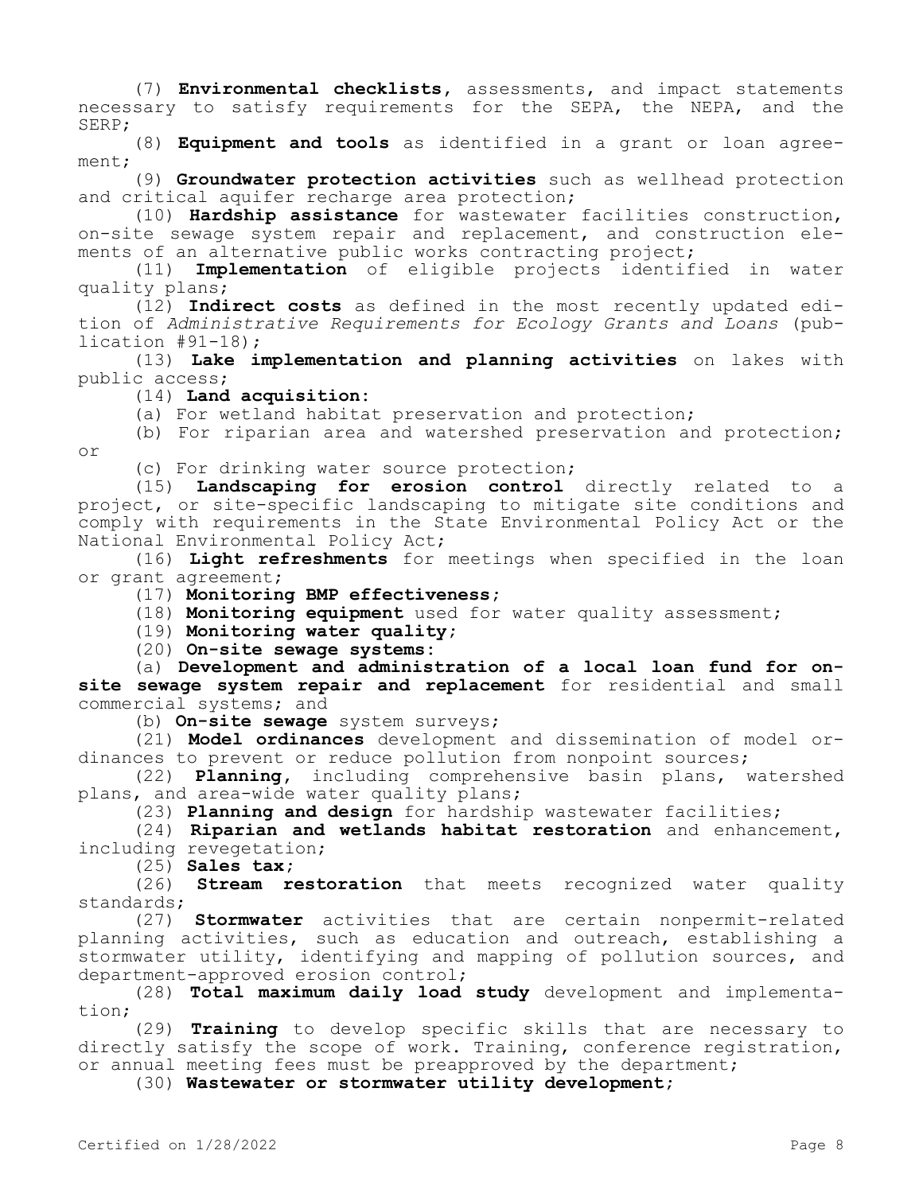(7) **Environmental checklists,** assessments, and impact statements necessary to satisfy requirements for the SEPA, the NEPA, and the SERP;

(8) **Equipment and tools** as identified in a grant or loan agreement;

(9) **Groundwater protection activities** such as wellhead protection and critical aquifer recharge area protection;

(10) **Hardship assistance** for wastewater facilities construction, on-site sewage system repair and replacement, and construction elements of an alternative public works contracting project;

(11) **Implementation** of eligible projects identified in water quality plans;

(12) **Indirect costs** as defined in the most recently updated edition of *Administrative Requirements for Ecology Grants and Loans* (publication #91-18);

(13) **Lake implementation and planning activities** on lakes with public access;

(14) **Land acquisition:**

or

(a) For wetland habitat preservation and protection;

(b) For riparian area and watershed preservation and protection;

(c) For drinking water source protection;

(15) **Landscaping for erosion control** directly related to a project, or site-specific landscaping to mitigate site conditions and comply with requirements in the State Environmental Policy Act or the National Environmental Policy Act;

(16) **Light refreshments** for meetings when specified in the loan or grant agreement;

(17) **Monitoring BMP effectiveness;**

(18) **Monitoring equipment** used for water quality assessment;

(19) **Monitoring water quality;**

(20) **On-site sewage systems:**

(a) **Development and administration of a local loan fund for onsite sewage system repair and replacement** for residential and small commercial systems; and

(b) **On-site sewage** system surveys;

(21) **Model ordinances** development and dissemination of model ordinances to prevent or reduce pollution from nonpoint sources;

(22) **Planning,** including comprehensive basin plans, watershed plans, and area-wide water quality plans;

(23) **Planning and design** for hardship wastewater facilities;

(24) **Riparian and wetlands habitat restoration** and enhancement, including revegetation;

(25) **Sales tax;**

(26) **Stream restoration** that meets recognized water quality standards;

(27) **Stormwater** activities that are certain nonpermit-related planning activities, such as education and outreach, establishing a stormwater utility, identifying and mapping of pollution sources, and department-approved erosion control;

(28) **Total maximum daily load study** development and implementation;

(29) **Training** to develop specific skills that are necessary to directly satisfy the scope of work. Training, conference registration, or annual meeting fees must be preapproved by the department;

(30) **Wastewater or stormwater utility development;**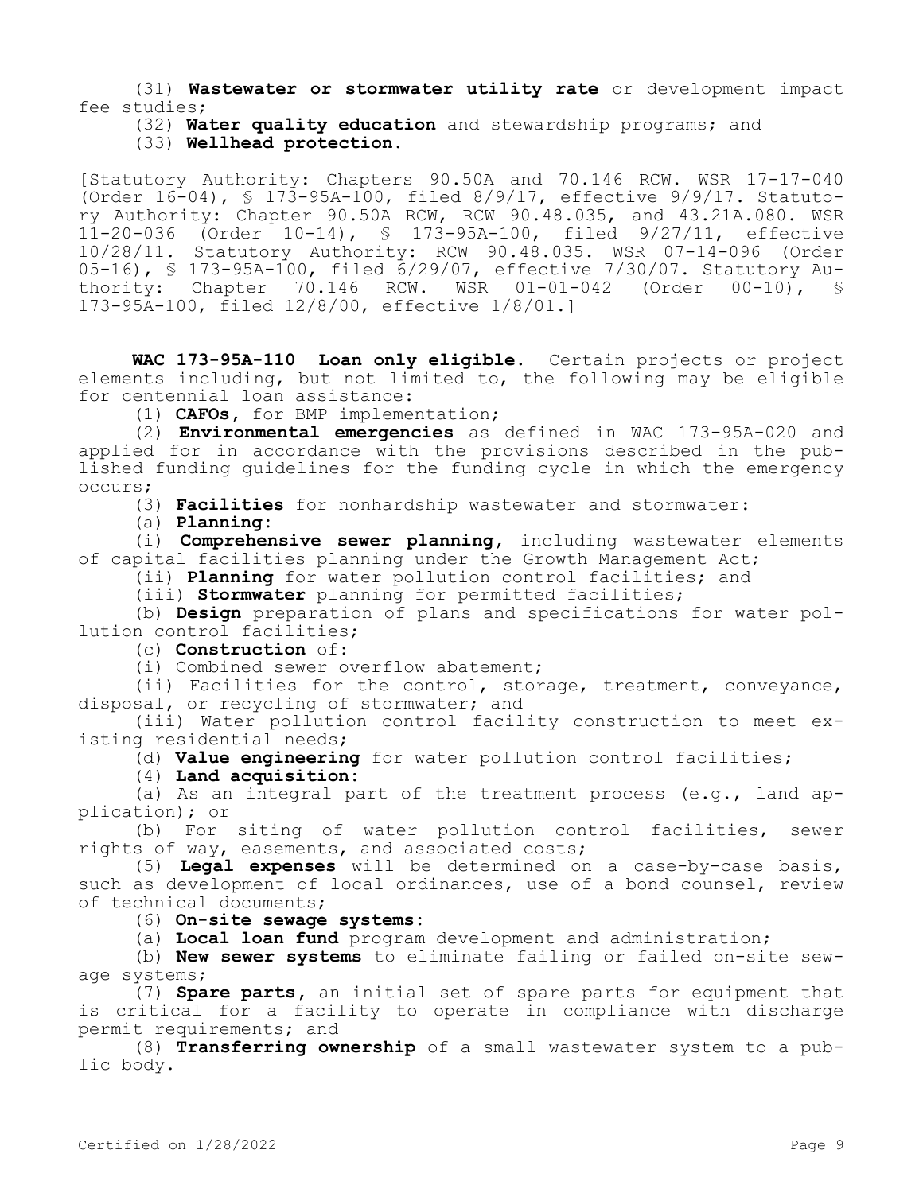(31) **Wastewater or stormwater utility rate** or development impact fee studies;

(32) **Water quality education** and stewardship programs; and

(33) **Wellhead protection.**

[Statutory Authority: Chapters 90.50A and 70.146 RCW. WSR 17-17-040 (Order 16-04), § 173-95A-100, filed 8/9/17, effective 9/9/17. Statutory Authority: Chapter 90.50A RCW, RCW 90.48.035, and 43.21A.080. WSR 11-20-036 (Order 10-14), § 173-95A-100, filed 9/27/11, effective 10/28/11. Statutory Authority: RCW 90.48.035. WSR 07-14-096 (Order 05-16), § 173-95A-100, filed 6/29/07, effective 7/30/07. Statutory Authority: Chapter 70.146 RCW. WSR 01-01-042 (Order 00-10),  $\frac{1}{5}$ 173-95A-100, filed 12/8/00, effective 1/8/01.]

**WAC 173-95A-110 Loan only eligible.** Certain projects or project elements including, but not limited to, the following may be eligible for centennial loan assistance:

(1) **CAFOs,** for BMP implementation;

(2) **Environmental emergencies** as defined in WAC 173-95A-020 and applied for in accordance with the provisions described in the published funding guidelines for the funding cycle in which the emergency occurs;

(3) **Facilities** for nonhardship wastewater and stormwater:

(a) **Planning:**

(i) **Comprehensive sewer planning,** including wastewater elements of capital facilities planning under the Growth Management Act;

(ii) **Planning** for water pollution control facilities; and

(iii) **Stormwater** planning for permitted facilities;

(b) **Design** preparation of plans and specifications for water pollution control facilities;

(c) **Construction** of:

(i) Combined sewer overflow abatement;

(ii) Facilities for the control, storage, treatment, conveyance, disposal, or recycling of stormwater; and

(iii) Water pollution control facility construction to meet existing residential needs;

(d) **Value engineering** for water pollution control facilities;

(4) **Land acquisition:**

(a) As an integral part of the treatment process  $(e,q, f)$  land application); or

(b) For siting of water pollution control facilities, sewer rights of way, easements, and associated costs;

(5) **Legal expenses** will be determined on a case-by-case basis, such as development of local ordinances, use of a bond counsel, review of technical documents;

(6) **On-site sewage systems:**

(a) **Local loan fund** program development and administration;

(b) **New sewer systems** to eliminate failing or failed on-site sewage systems;

(7) **Spare parts,** an initial set of spare parts for equipment that is critical for a facility to operate in compliance with discharge permit requirements; and

(8) **Transferring ownership** of a small wastewater system to a public body.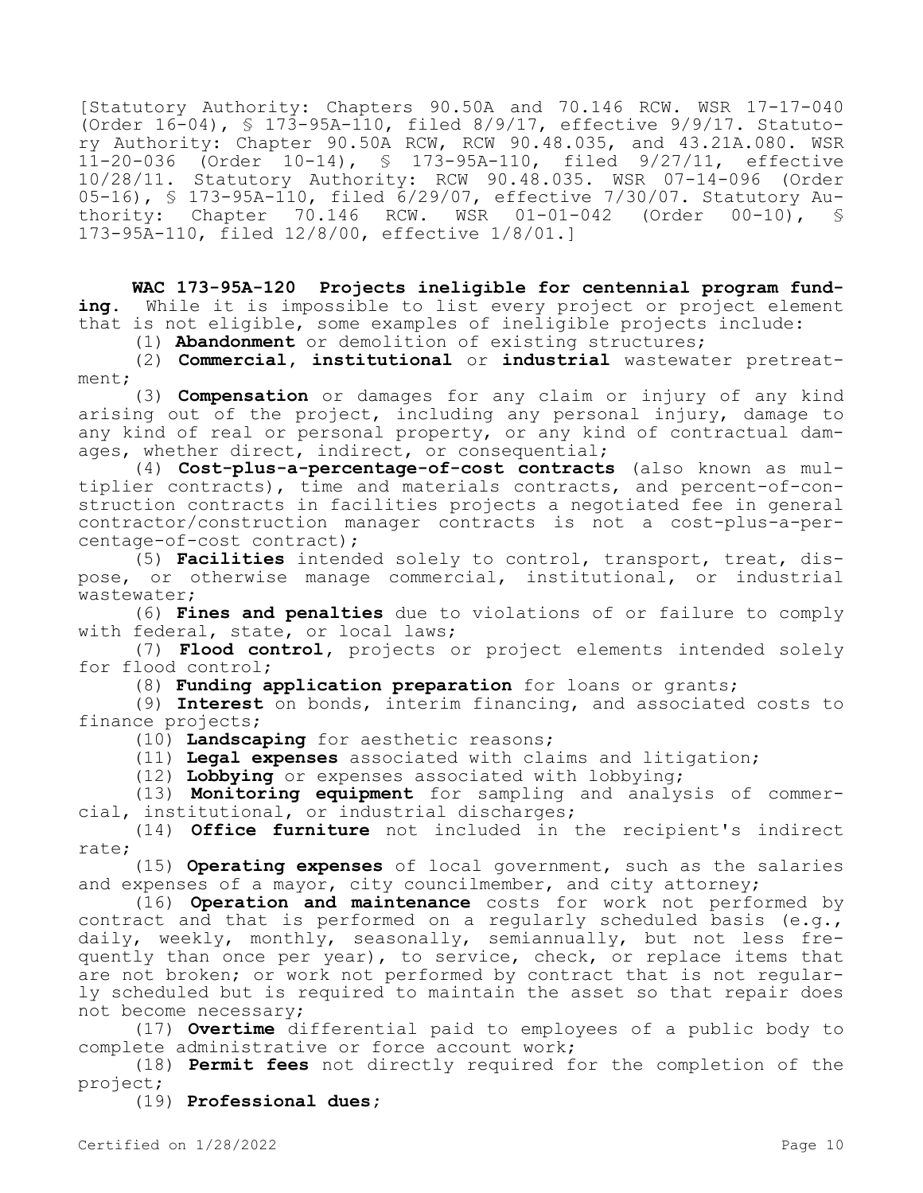[Statutory Authority: Chapters 90.50A and 70.146 RCW. WSR 17-17-040 (Order 16-04), § 173-95A-110, filed 8/9/17, effective 9/9/17. Statutory Authority: Chapter 90.50A RCW, RCW 90.48.035, and 43.21A.080. WSR 11-20-036 (Order 10-14), § 173-95A-110, filed 9/27/11, effective 10/28/11. Statutory Authority: RCW 90.48.035. WSR 07-14-096 (Order 05-16), § 173-95A-110, filed  $6/29/07$ , effective 7/30/07. Statutory Au-<br>thority: Chapter 70.146 RCW. WSR 01-01-042 (Order 00-10), § thority: Chapter  $70.146$  RCW. 173-95A-110, filed 12/8/00, effective 1/8/01.]

**WAC 173-95A-120 Projects ineligible for centennial program funding.** While it is impossible to list every project or project element that is not eligible, some examples of ineligible projects include:

(1) **Abandonment** or demolition of existing structures;

(2) **Commercial, institutional** or **industrial** wastewater pretreatment;

(3) **Compensation** or damages for any claim or injury of any kind arising out of the project, including any personal injury, damage to any kind of real or personal property, or any kind of contractual damages, whether direct, indirect, or consequential;

(4) **Cost-plus-a-percentage-of-cost contracts** (also known as multiplier contracts), time and materials contracts, and percent-of-construction contracts in facilities projects a negotiated fee in general contractor/construction manager contracts is not a cost-plus-a-percentage-of-cost contract);

(5) **Facilities** intended solely to control, transport, treat, dispose, or otherwise manage commercial, institutional, or industrial wastewater;

(6) **Fines and penalties** due to violations of or failure to comply with federal, state, or local laws;

(7) **Flood control,** projects or project elements intended solely for flood control;

(8) **Funding application preparation** for loans or grants;

(9) **Interest** on bonds, interim financing, and associated costs to finance projects;

(10) **Landscaping** for aesthetic reasons;

(11) **Legal expenses** associated with claims and litigation;

(12) **Lobbying** or expenses associated with lobbying;

(13) **Monitoring equipment** for sampling and analysis of commercial, institutional, or industrial discharges;

(14) **Office furniture** not included in the recipient's indirect rate;

(15) **Operating expenses** of local government, such as the salaries and expenses of a mayor, city councilmember, and city attorney;

(16) **Operation and maintenance** costs for work not performed by contract and that is performed on a regularly scheduled basis (e.g., daily, weekly, monthly, seasonally, semiannually, but not less frequently than once per year), to service, check, or replace items that are not broken; or work not performed by contract that is not regularly scheduled but is required to maintain the asset so that repair does not become necessary;

(17) **Overtime** differential paid to employees of a public body to complete administrative or force account work;

(18) **Permit fees** not directly required for the completion of the project;

(19) **Professional dues;**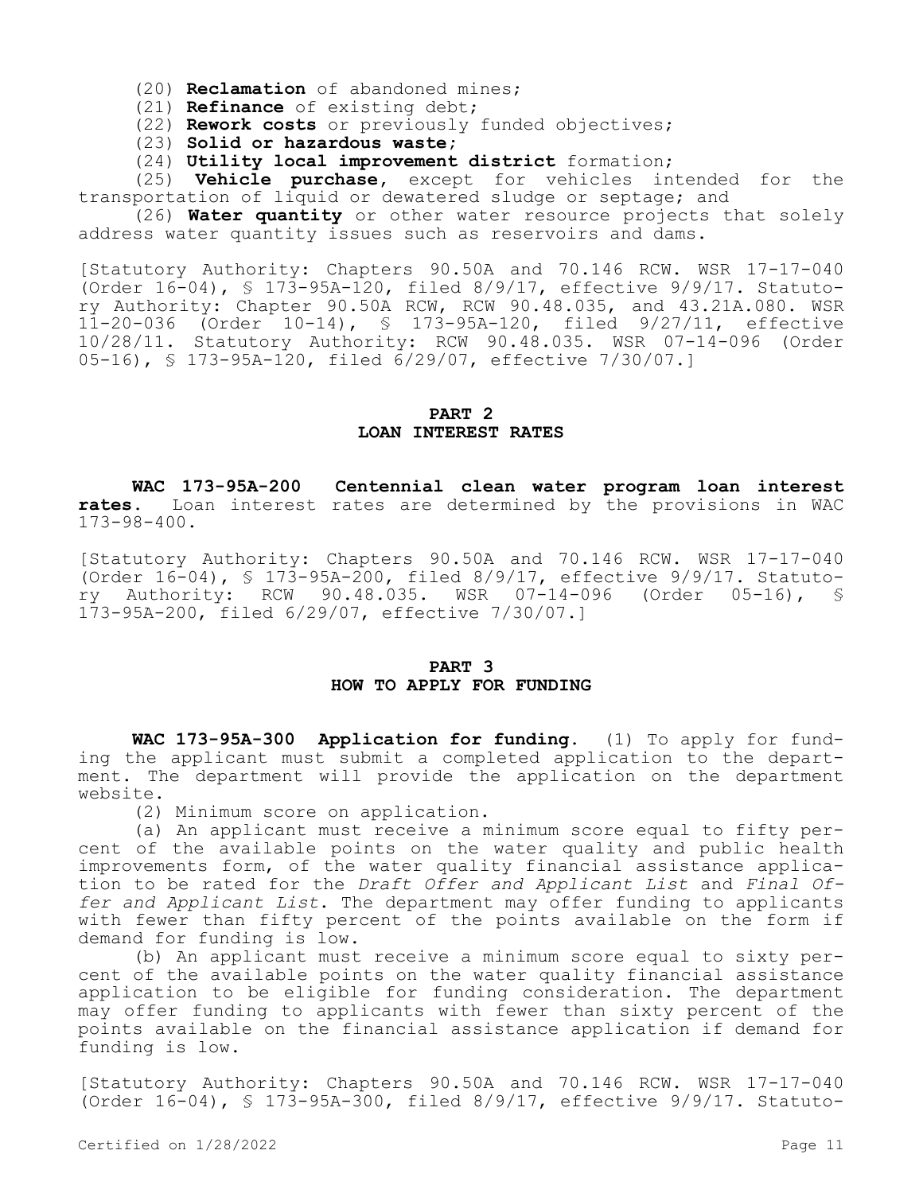(20) **Reclamation** of abandoned mines;

(21) **Refinance** of existing debt;

(22) **Rework costs** or previously funded objectives;

(23) **Solid or hazardous waste;**

(24) **Utility local improvement district** formation;

(25) **Vehicle purchase,** except for vehicles intended for the transportation of liquid or dewatered sludge or septage; and

(26) **Water quantity** or other water resource projects that solely address water quantity issues such as reservoirs and dams.

[Statutory Authority: Chapters 90.50A and 70.146 RCW. WSR 17-17-040 (Order 16-04), § 173-95A-120, filed 8/9/17, effective 9/9/17. Statutory Authority: Chapter 90.50A RCW, RCW 90.48.035, and 43.21A.080. WSR 11-20-036 (Order 10-14), § 173-95A-120, filed 9/27/11, effective 10/28/11. Statutory Authority: RCW 90.48.035. WSR 07-14-096 (Order 05-16), § 173-95A-120, filed 6/29/07, effective 7/30/07.]

#### **PART 2 LOAN INTEREST RATES**

**WAC 173-95A-200 Centennial clean water program loan interest rates.** Loan interest rates are determined by the provisions in WAC 173-98-400.

[Statutory Authority: Chapters 90.50A and 70.146 RCW. WSR 17-17-040 (Order 16-04), § 173-95A-200, filed 8/9/17, effective 9/9/17. Statutory Authority: RCW 90.48.035. WSR 07-14-096 (Order 05-16), § 173-95A-200, filed 6/29/07, effective 7/30/07.]

### **PART 3 HOW TO APPLY FOR FUNDING**

**WAC 173-95A-300 Application for funding.** (1) To apply for funding the applicant must submit a completed application to the department. The department will provide the application on the department website.

(2) Minimum score on application.

(a) An applicant must receive a minimum score equal to fifty percent of the available points on the water quality and public health improvements form, of the water quality financial assistance application to be rated for the *Draft Offer and Applicant List* and *Final Offer and Applicant List*. The department may offer funding to applicants with fewer than fifty percent of the points available on the form if demand for funding is low.

(b) An applicant must receive a minimum score equal to sixty percent of the available points on the water quality financial assistance application to be eligible for funding consideration. The department may offer funding to applicants with fewer than sixty percent of the points available on the financial assistance application if demand for funding is low.

[Statutory Authority: Chapters 90.50A and 70.146 RCW. WSR 17-17-040 (Order 16-04), § 173-95A-300, filed 8/9/17, effective 9/9/17. Statuto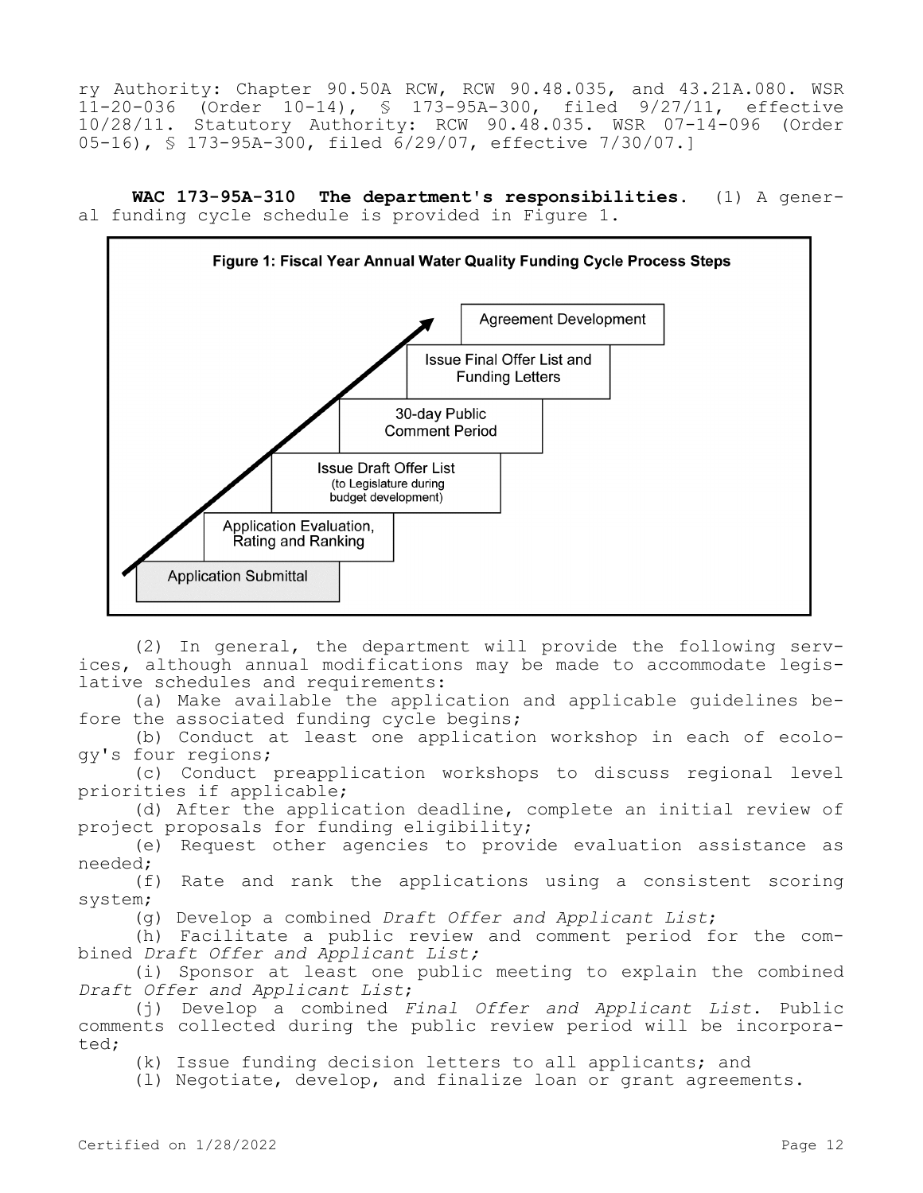ry Authority: Chapter 90.50A RCW, RCW 90.48.035, and 43.21A.080. WSR 11-20-036 (Order 10-14), § 173-95A-300, filed 9/27/11, effective 10/28/11. Statutory Authority: RCW 90.48.035. WSR 07-14-096 (Order 05-16), § 173-95A-300, filed 6/29/07, effective 7/30/07.]

**WAC 173-95A-310 The department's responsibilities.** (1) A general funding cycle schedule is provided in Figure 1.



(2) In general, the department will provide the following services, although annual modifications may be made to accommodate legislative schedules and requirements:

(a) Make available the application and applicable guidelines before the associated funding cycle begins;

(b) Conduct at least one application workshop in each of ecology's four regions;

(c) Conduct preapplication workshops to discuss regional level priorities if applicable;

(d) After the application deadline, complete an initial review of project proposals for funding eligibility;

(e) Request other agencies to provide evaluation assistance as needed;

(f) Rate and rank the applications using a consistent scoring system;

(g) Develop a combined *Draft Offer and Applicant List*;

(h) Facilitate a public review and comment period for the combined *Draft Offer and Applicant List;*

(i) Sponsor at least one public meeting to explain the combined *Draft Offer and Applicant List*;

(j) Develop a combined *Final Offer and Applicant List*. Public comments collected during the public review period will be incorporated;

(k) Issue funding decision letters to all applicants; and

(l) Negotiate, develop, and finalize loan or grant agreements.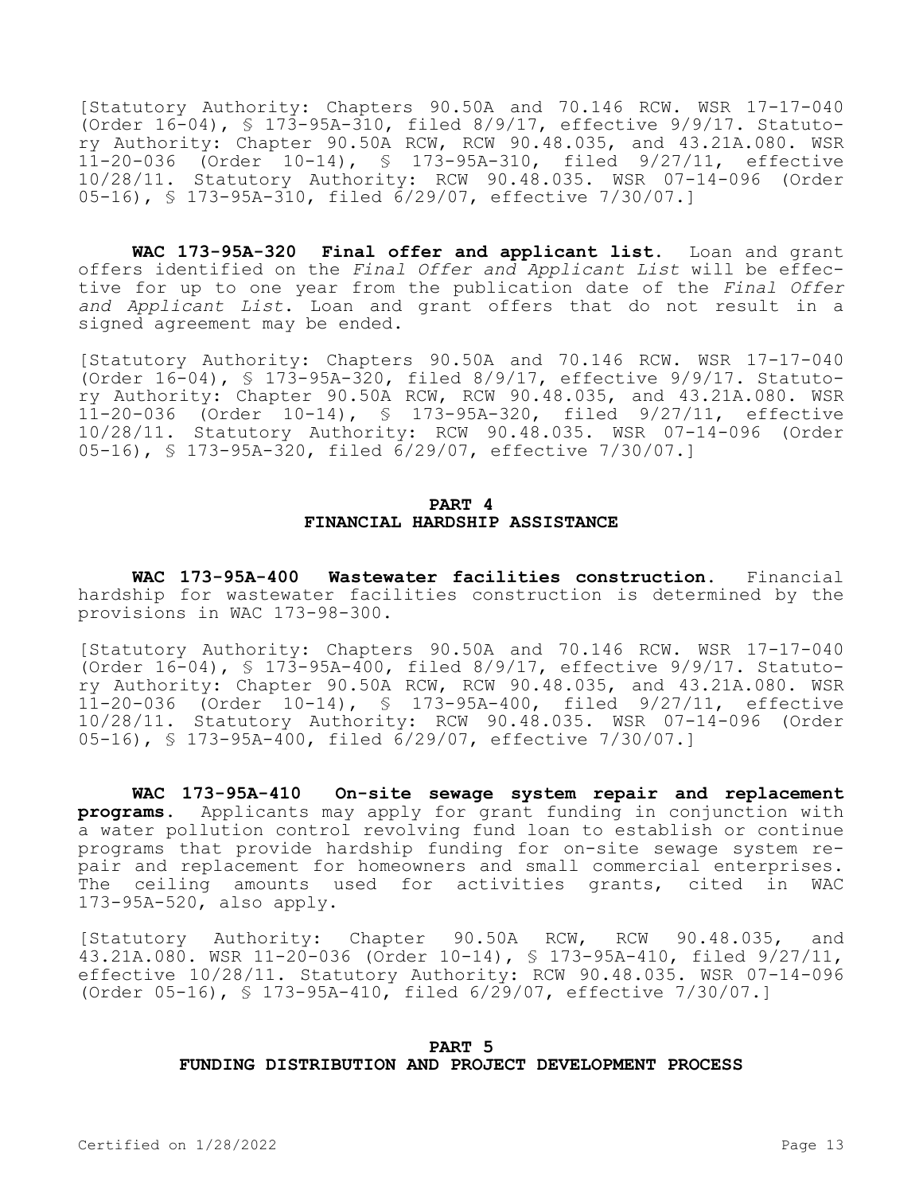[Statutory Authority: Chapters 90.50A and 70.146 RCW. WSR 17-17-040 (Order 16-04), § 173-95A-310, filed 8/9/17, effective 9/9/17. Statutory Authority: Chapter 90.50A RCW, RCW 90.48.035, and 43.21A.080. WSR 11-20-036 (Order 10-14), § 173-95A-310, filed 9/27/11, effective 10/28/11. Statutory Authority: RCW 90.48.035. WSR 07-14-096 (Order 05-16), § 173-95A-310, filed 6/29/07, effective 7/30/07.]

**WAC 173-95A-320 Final offer and applicant list.** Loan and grant offers identified on the *Final Offer and Applicant List* will be effective for up to one year from the publication date of the *Final Offer and Applicant List*. Loan and grant offers that do not result in a signed agreement may be ended.

[Statutory Authority: Chapters 90.50A and 70.146 RCW. WSR 17-17-040 (Order 16-04), § 173-95A-320, filed 8/9/17, effective 9/9/17. Statutory Authority: Chapter 90.50A RCW, RCW 90.48.035, and 43.21A.080. WSR 11-20-036 (Order 10-14), § 173-95A-320, filed 9/27/11, effective 10/28/11. Statutory Authority: RCW 90.48.035. WSR 07-14-096 (Order 05-16), § 173-95A-320, filed 6/29/07, effective 7/30/07.]

### **PART 4 FINANCIAL HARDSHIP ASSISTANCE**

**WAC 173-95A-400 Wastewater facilities construction.** Financial hardship for wastewater facilities construction is determined by the provisions in WAC 173-98-300.

[Statutory Authority: Chapters 90.50A and 70.146 RCW. WSR 17-17-040 (Order 16-04), § 173-95A-400, filed 8/9/17, effective 9/9/17. Statutory Authority: Chapter 90.50A RCW, RCW 90.48.035, and 43.21A.080. WSR 11-20-036 (Order 10-14), § 173-95A-400, filed 9/27/11, effective 10/28/11. Statutory Authority: RCW 90.48.035. WSR 07-14-096 (Order 05-16), § 173-95A-400, filed 6/29/07, effective 7/30/07.]

**WAC 173-95A-410 On-site sewage system repair and replacement programs.** Applicants may apply for grant funding in conjunction with a water pollution control revolving fund loan to establish or continue programs that provide hardship funding for on-site sewage system repair and replacement for homeowners and small commercial enterprises. The ceiling amounts used for activities grants, cited in WAC 173-95A-520, also apply.

[Statutory Authority: Chapter 90.50A RCW, RCW 90.48.035, and 43.21A.080. WSR 11-20-036 (Order 10-14), § 173-95A-410, filed 9/27/11, effective 10/28/11. Statutory Authority: RCW 90.48.035. WSR 07-14-096 (Order 05-16), § 173-95A-410, filed 6/29/07, effective 7/30/07.]

#### **PART 5 FUNDING DISTRIBUTION AND PROJECT DEVELOPMENT PROCESS**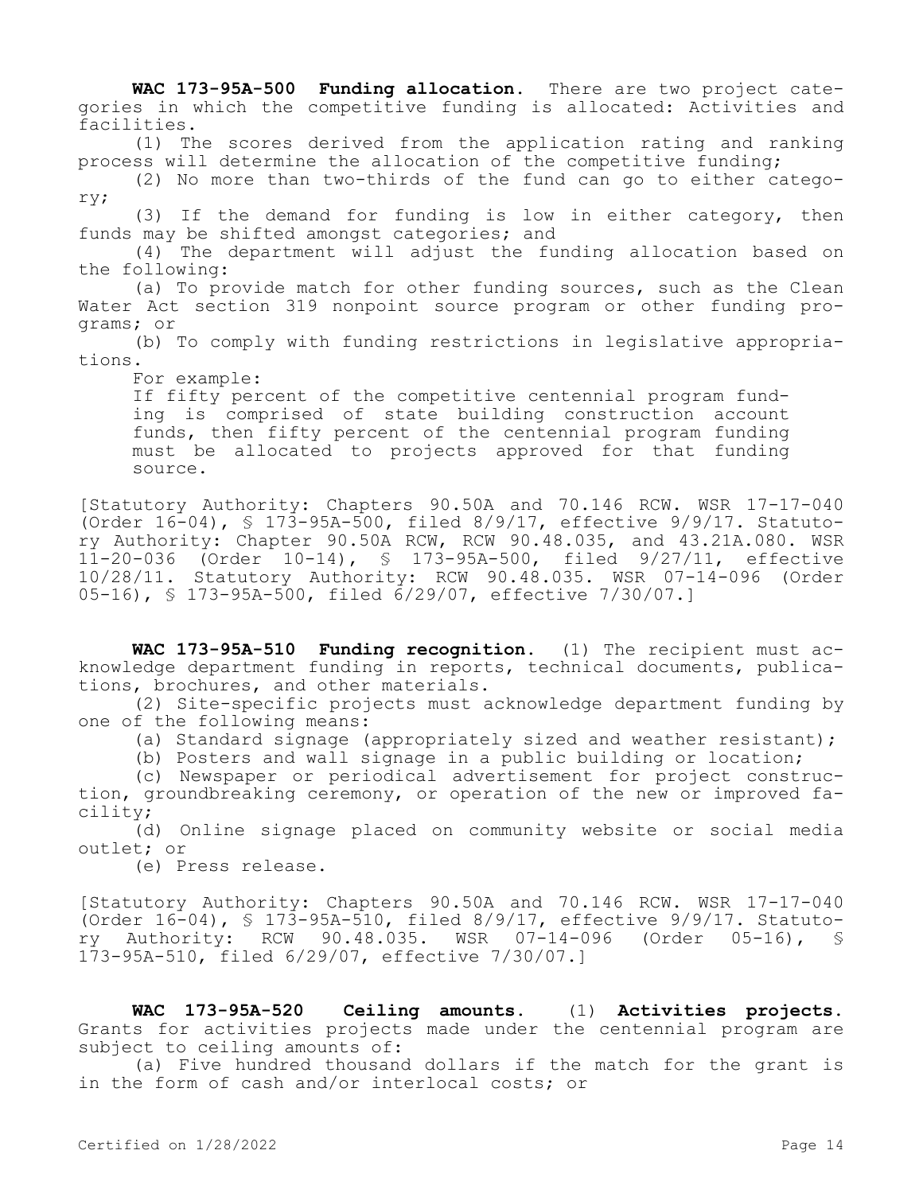**WAC 173-95A-500 Funding allocation.** There are two project categories in which the competitive funding is allocated: Activities and facilities.

(1) The scores derived from the application rating and ranking process will determine the allocation of the competitive funding;

(2) No more than two-thirds of the fund can go to either category;

(3) If the demand for funding is low in either category, then funds may be shifted amongst categories; and

(4) The department will adjust the funding allocation based on the following:

(a) To provide match for other funding sources, such as the Clean Water Act section 319 nonpoint source program or other funding programs; or

(b) To comply with funding restrictions in legislative appropriations.

For example:

If fifty percent of the competitive centennial program funding is comprised of state building construction account funds, then fifty percent of the centennial program funding must be allocated to projects approved for that funding source.

[Statutory Authority: Chapters 90.50A and 70.146 RCW. WSR 17-17-040 (Order 16-04), § 173-95A-500, filed 8/9/17, effective 9/9/17. Statutory Authority: Chapter 90.50A RCW, RCW 90.48.035, and 43.21A.080. WSR 11-20-036 (Order 10-14), § 173-95A-500, filed 9/27/11, effective 10/28/11. Statutory Authority: RCW 90.48.035. WSR 07-14-096 (Order 05-16), § 173-95A-500, filed 6/29/07, effective 7/30/07.]

**WAC 173-95A-510 Funding recognition.** (1) The recipient must acknowledge department funding in reports, technical documents, publications, brochures, and other materials.

(2) Site-specific projects must acknowledge department funding by one of the following means:

(a) Standard signage (appropriately sized and weather resistant);

(b) Posters and wall signage in a public building or location;

(c) Newspaper or periodical advertisement for project construction, groundbreaking ceremony, or operation of the new or improved facility;

(d) Online signage placed on community website or social media outlet; or

(e) Press release.

[Statutory Authority: Chapters 90.50A and 70.146 RCW. WSR 17-17-040 (Order 16-04), § 173-95A-510, filed 8/9/17, effective 9/9/17. Statutory Authority: RCW 90.48.035. WSR 07-14-096 (Order 05-16), § 173-95A-510, filed 6/29/07, effective 7/30/07.]

**WAC 173-95A-520 Ceiling amounts.** (1) **Activities projects.**  Grants for activities projects made under the centennial program are subject to ceiling amounts of:

(a) Five hundred thousand dollars if the match for the grant is in the form of cash and/or interlocal costs; or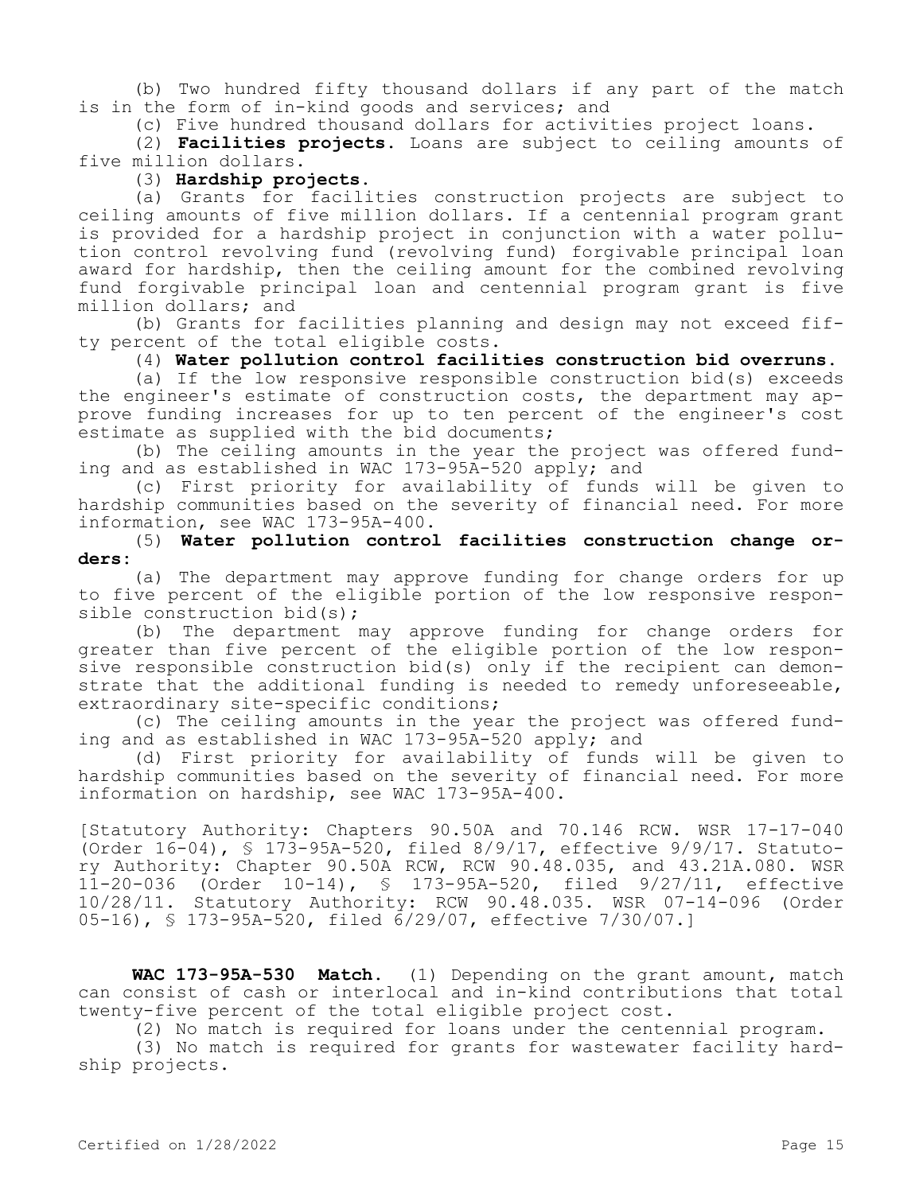(b) Two hundred fifty thousand dollars if any part of the match is in the form of in-kind goods and services; and

(c) Five hundred thousand dollars for activities project loans.

(2) **Facilities projects.** Loans are subject to ceiling amounts of five million dollars.

### (3) **Hardship projects.**

(a) Grants for facilities construction projects are subject to ceiling amounts of five million dollars. If a centennial program grant is provided for a hardship project in conjunction with a water pollution control revolving fund (revolving fund) forgivable principal loan award for hardship, then the ceiling amount for the combined revolving fund forgivable principal loan and centennial program grant is five million dollars; and

(b) Grants for facilities planning and design may not exceed fifty percent of the total eligible costs.

### (4) **Water pollution control facilities construction bid overruns.**

(a) If the low responsive responsible construction bid(s) exceeds the engineer's estimate of construction costs, the department may approve funding increases for up to ten percent of the engineer's cost estimate as supplied with the bid documents;

(b) The ceiling amounts in the year the project was offered funding and as established in WAC 173-95A-520 apply; and

(c) First priority for availability of funds will be given to hardship communities based on the severity of financial need. For more information, see WAC 173-95A-400.

(5) **Water pollution control facilities construction change orders:**

(a) The department may approve funding for change orders for up to five percent of the eligible portion of the low responsive responsible construction bid(s);

(b) The department may approve funding for change orders for greater than five percent of the eligible portion of the low responsive responsible construction bid(s) only if the recipient can demonstrate that the additional funding is needed to remedy unforeseeable, extraordinary site-specific conditions;

(c) The ceiling amounts in the year the project was offered funding and as established in WAC 173-95A-520 apply; and

(d) First priority for availability of funds will be given to hardship communities based on the severity of financial need. For more information on hardship, see WAC 173-95A-400.

[Statutory Authority: Chapters 90.50A and 70.146 RCW. WSR 17-17-040 (Order 16-04), § 173-95A-520, filed 8/9/17, effective 9/9/17. Statutory Authority: Chapter 90.50A RCW, RCW 90.48.035, and 43.21A.080. WSR 11-20-036 (Order 10-14), § 173-95A-520, filed 9/27/11, effective 10/28/11. Statutory Authority: RCW 90.48.035. WSR 07-14-096 (Order 05-16), § 173-95A-520, filed 6/29/07, effective 7/30/07.]

**WAC 173-95A-530 Match.** (1) Depending on the grant amount, match can consist of cash or interlocal and in-kind contributions that total twenty-five percent of the total eligible project cost.

(2) No match is required for loans under the centennial program.

(3) No match is required for grants for wastewater facility hardship projects.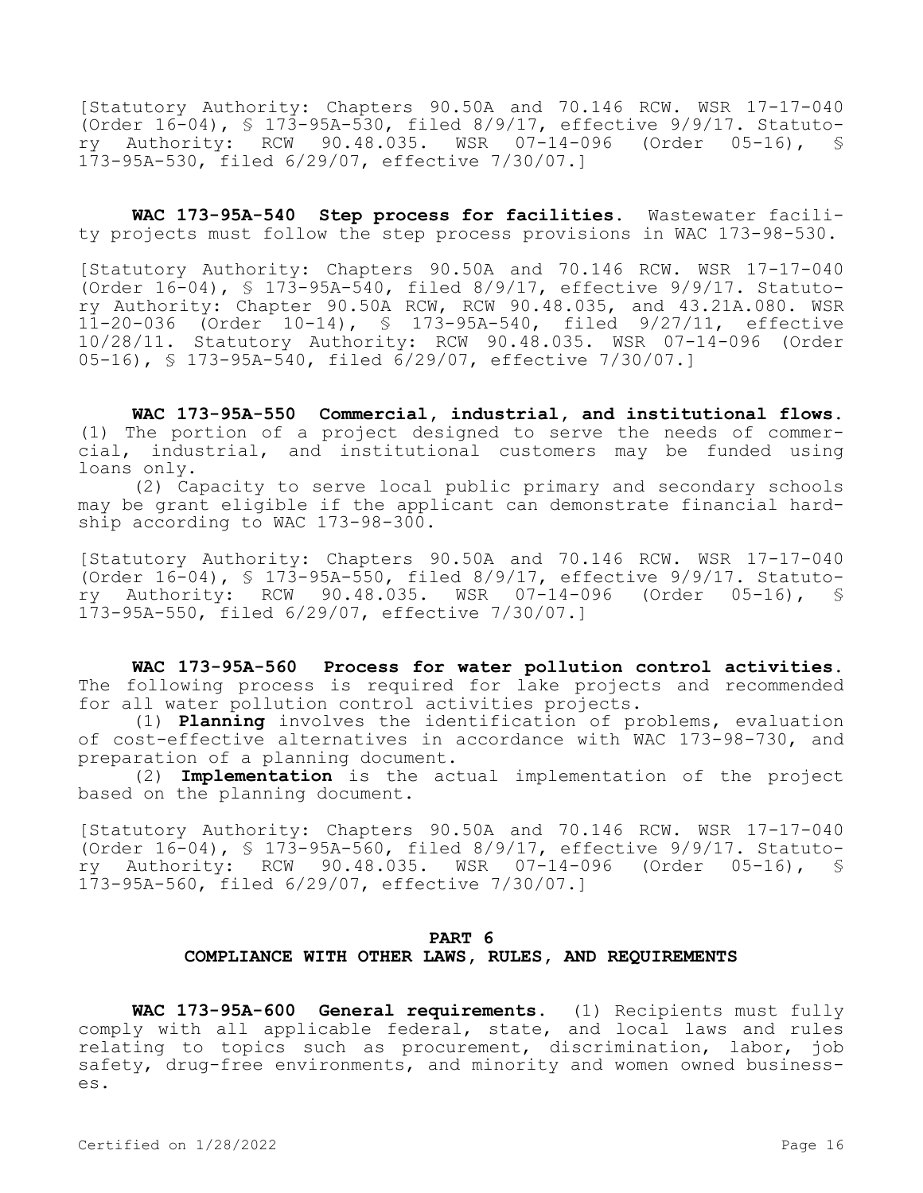[Statutory Authority: Chapters 90.50A and 70.146 RCW. WSR 17-17-040 (Order 16-04), § 173-95A-530, filed 8/9/17, effective 9/9/17. Statutory Authority: RCW 90.48.035. WSR 07-14-096 (Order 05-16), § 173-95A-530, filed 6/29/07, effective 7/30/07.]

**WAC 173-95A-540 Step process for facilities.** Wastewater facility projects must follow the step process provisions in WAC 173-98-530.

[Statutory Authority: Chapters 90.50A and 70.146 RCW. WSR 17-17-040 (Order 16-04), § 173-95A-540, filed 8/9/17, effective 9/9/17. Statutory Authority: Chapter 90.50A RCW, RCW 90.48.035, and 43.21A.080. WSR 11-20-036 (Order 10-14), § 173-95A-540, filed 9/27/11, effective 10/28/11. Statutory Authority: RCW 90.48.035. WSR 07-14-096 (Order 05-16), § 173-95A-540, filed 6/29/07, effective 7/30/07.]

**WAC 173-95A-550 Commercial, industrial, and institutional flows.**  (1) The portion of a project designed to serve the needs of commercial, industrial, and institutional customers may be funded using loans only.

(2) Capacity to serve local public primary and secondary schools may be grant eligible if the applicant can demonstrate financial hardship according to WAC 173-98-300.

[Statutory Authority: Chapters 90.50A and 70.146 RCW. WSR 17-17-040 (Order 16-04), § 173-95A-550, filed 8/9/17, effective 9/9/17. Statutory Authority: RCW 90.48.035. WSR 07-14-096 (Order 05-16), § 173-95A-550, filed 6/29/07, effective 7/30/07.]

**WAC 173-95A-560 Process for water pollution control activities.**  The following process is required for lake projects and recommended for all water pollution control activities projects.

(1) **Planning** involves the identification of problems, evaluation of cost-effective alternatives in accordance with WAC 173-98-730, and preparation of a planning document.

(2) **Implementation** is the actual implementation of the project based on the planning document.

[Statutory Authority: Chapters 90.50A and 70.146 RCW. WSR 17-17-040 (Order 16-04), § 173-95A-560, filed 8/9/17, effective 9/9/17. Statutory Authority: RCW 90.48.035. WSR 07-14-096 (Order 05-16), § 173-95A-560, filed 6/29/07, effective 7/30/07.]

# **PART 6 COMPLIANCE WITH OTHER LAWS, RULES, AND REQUIREMENTS**

**WAC 173-95A-600 General requirements.** (1) Recipients must fully comply with all applicable federal, state, and local laws and rules relating to topics such as procurement, discrimination, labor, job safety, drug-free environments, and minority and women owned businesses.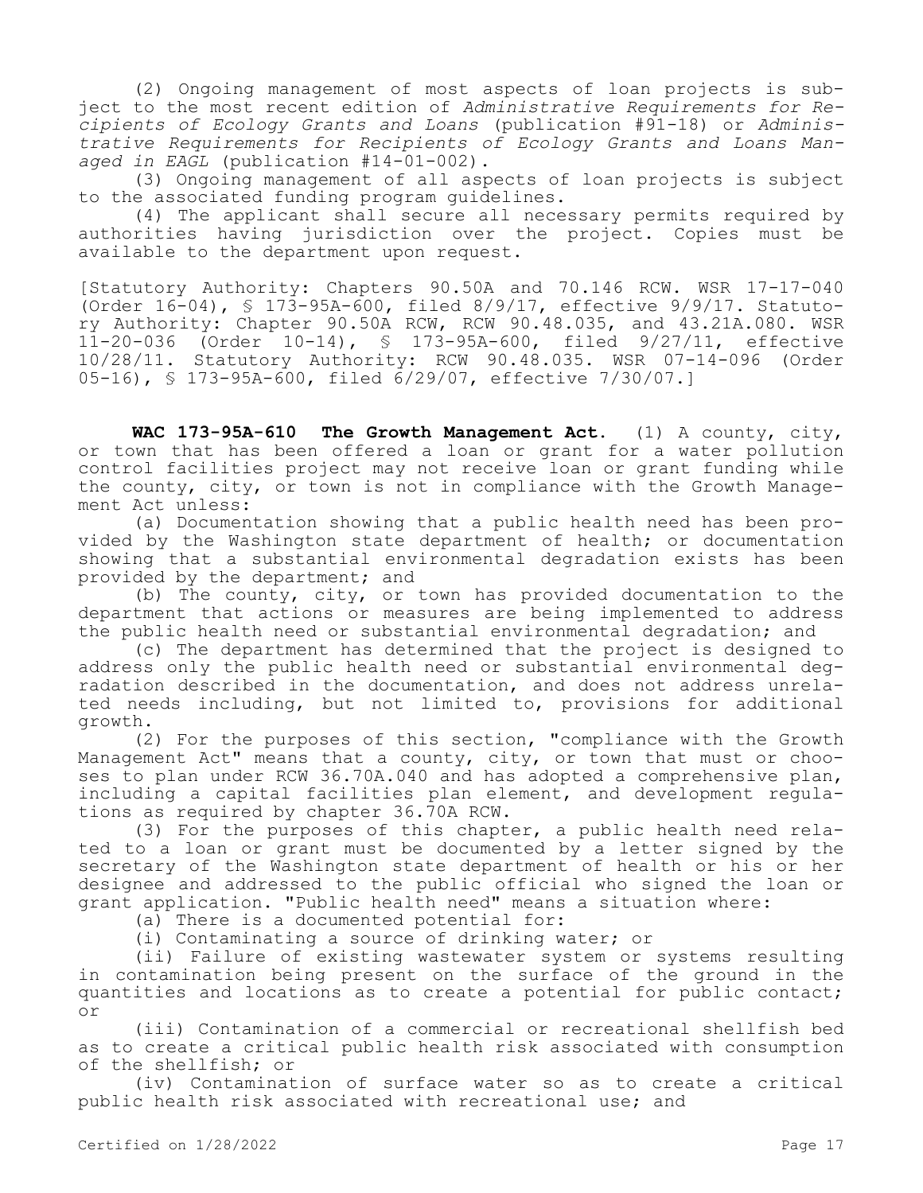(2) Ongoing management of most aspects of loan projects is subject to the most recent edition of *Administrative Requirements for Recipients of Ecology Grants and Loans* (publication #91-18) or *Administrative Requirements for Recipients of Ecology Grants and Loans Managed in EAGL* (publication #14-01-002).

(3) Ongoing management of all aspects of loan projects is subject to the associated funding program guidelines.

(4) The applicant shall secure all necessary permits required by authorities having jurisdiction over the project. Copies must be available to the department upon request.

[Statutory Authority: Chapters 90.50A and 70.146 RCW. WSR 17-17-040 (Order 16-04), § 173-95A-600, filed 8/9/17, effective 9/9/17. Statutory Authority: Chapter 90.50A RCW, RCW 90.48.035, and 43.21A.080. WSR 11-20-036 (Order 10-14), § 173-95A-600, filed 9/27/11, effective 10/28/11. Statutory Authority: RCW 90.48.035. WSR 07-14-096 (Order 05-16), § 173-95A-600, filed 6/29/07, effective 7/30/07.]

**WAC 173-95A-610 The Growth Management Act.** (1) A county, city, or town that has been offered a loan or grant for a water pollution control facilities project may not receive loan or grant funding while the county, city, or town is not in compliance with the Growth Management Act unless:

(a) Documentation showing that a public health need has been provided by the Washington state department of health; or documentation showing that a substantial environmental degradation exists has been provided by the department; and

(b) The county, city, or town has provided documentation to the department that actions or measures are being implemented to address the public health need or substantial environmental degradation; and

(c) The department has determined that the project is designed to address only the public health need or substantial environmental degradation described in the documentation, and does not address unrelated needs including, but not limited to, provisions for additional growth.

(2) For the purposes of this section, "compliance with the Growth Management Act" means that a county, city, or town that must or chooses to plan under RCW 36.70A.040 and has adopted a comprehensive plan, including a capital facilities plan element, and development regulations as required by chapter 36.70A RCW.

(3) For the purposes of this chapter, a public health need related to a loan or grant must be documented by a letter signed by the secretary of the Washington state department of health or his or her designee and addressed to the public official who signed the loan or grant application. "Public health need" means a situation where:

(a) There is a documented potential for:

(i) Contaminating a source of drinking water; or

(ii) Failure of existing wastewater system or systems resulting in contamination being present on the surface of the ground in the quantities and locations as to create a potential for public contact; or

(iii) Contamination of a commercial or recreational shellfish bed as to create a critical public health risk associated with consumption of the shellfish; or

(iv) Contamination of surface water so as to create a critical public health risk associated with recreational use; and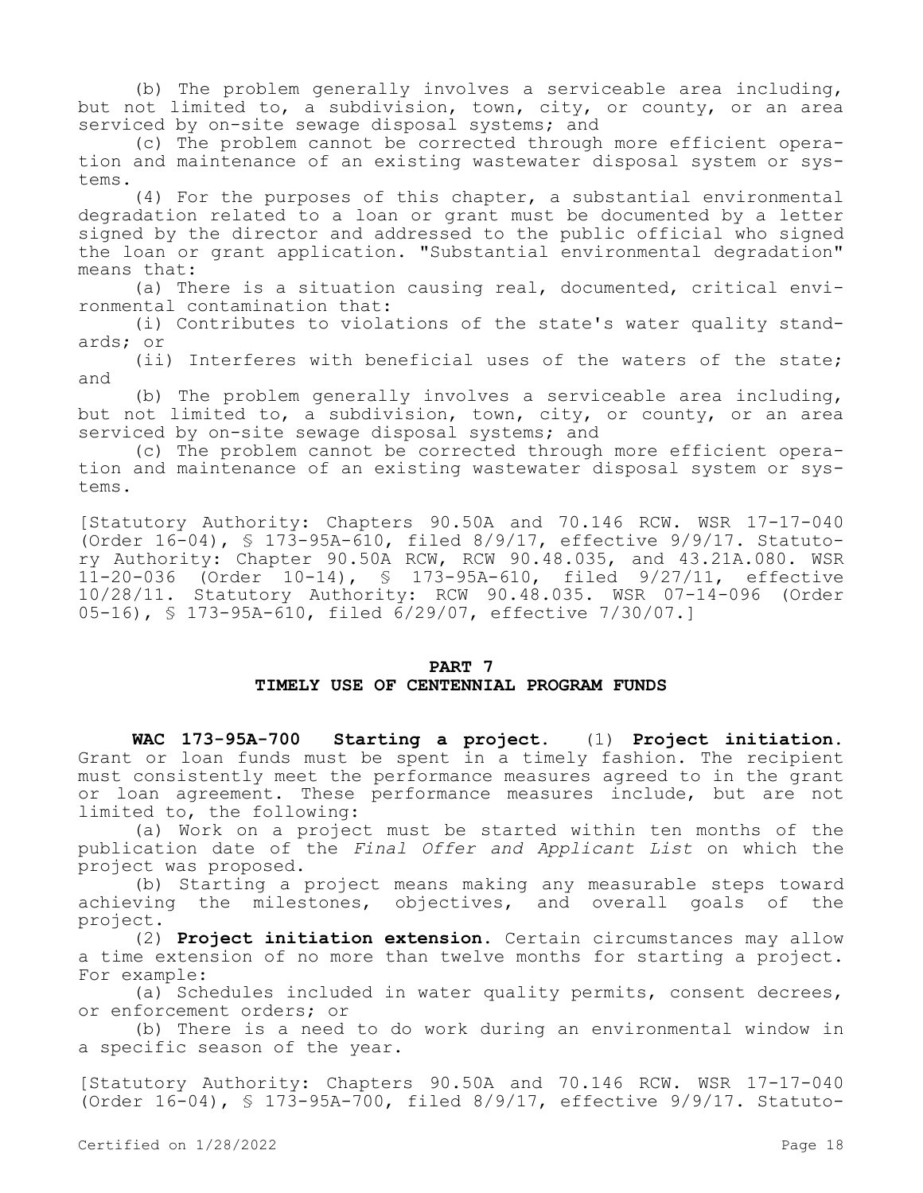(b) The problem generally involves a serviceable area including, but not limited to, a subdivision, town, city, or county, or an area serviced by on-site sewage disposal systems; and

(c) The problem cannot be corrected through more efficient operation and maintenance of an existing wastewater disposal system or systems.

(4) For the purposes of this chapter, a substantial environmental degradation related to a loan or grant must be documented by a letter signed by the director and addressed to the public official who signed the loan or grant application. "Substantial environmental degradation" means that:

(a) There is a situation causing real, documented, critical environmental contamination that:

(i) Contributes to violations of the state's water quality standards; or

(ii) Interferes with beneficial uses of the waters of the state; and

(b) The problem generally involves a serviceable area including, but not limited to, a subdivision, town, city, or county, or an area serviced by on-site sewage disposal systems; and

(c) The problem cannot be corrected through more efficient operation and maintenance of an existing wastewater disposal system or systems.

[Statutory Authority: Chapters 90.50A and 70.146 RCW. WSR 17-17-040 (Order  $16-04$ ), § 173-95A-610, filed 8/9/17, effective 9/9/17. Statutory Authority: Chapter 90.50A RCW, RCW 90.48.035, and 43.21A.080. WSR 11-20-036 (Order 10-14), § 173-95A-610, filed 9/27/11, effective 10/28/11. Statutory Authority: RCW 90.48.035. WSR 07-14-096 (Order 05-16), § 173-95A-610, filed 6/29/07, effective 7/30/07.]

## **PART 7 TIMELY USE OF CENTENNIAL PROGRAM FUNDS**

**WAC 173-95A-700 Starting a project.** (1) **Project initiation.**  Grant or loan funds must be spent in a timely fashion. The recipient must consistently meet the performance measures agreed to in the grant or loan agreement. These performance measures include, but are not limited to, the following:

(a) Work on a project must be started within ten months of the publication date of the *Final Offer and Applicant List* on which the project was proposed.

(b) Starting a project means making any measurable steps toward achieving the milestones, objectives, and overall goals of the project.

(2) **Project initiation extension.** Certain circumstances may allow a time extension of no more than twelve months for starting a project. For example:

(a) Schedules included in water quality permits, consent decrees, or enforcement orders; or

(b) There is a need to do work during an environmental window in a specific season of the year.

[Statutory Authority: Chapters 90.50A and 70.146 RCW. WSR 17-17-040 (Order 16-04), § 173-95A-700, filed 8/9/17, effective 9/9/17. Statuto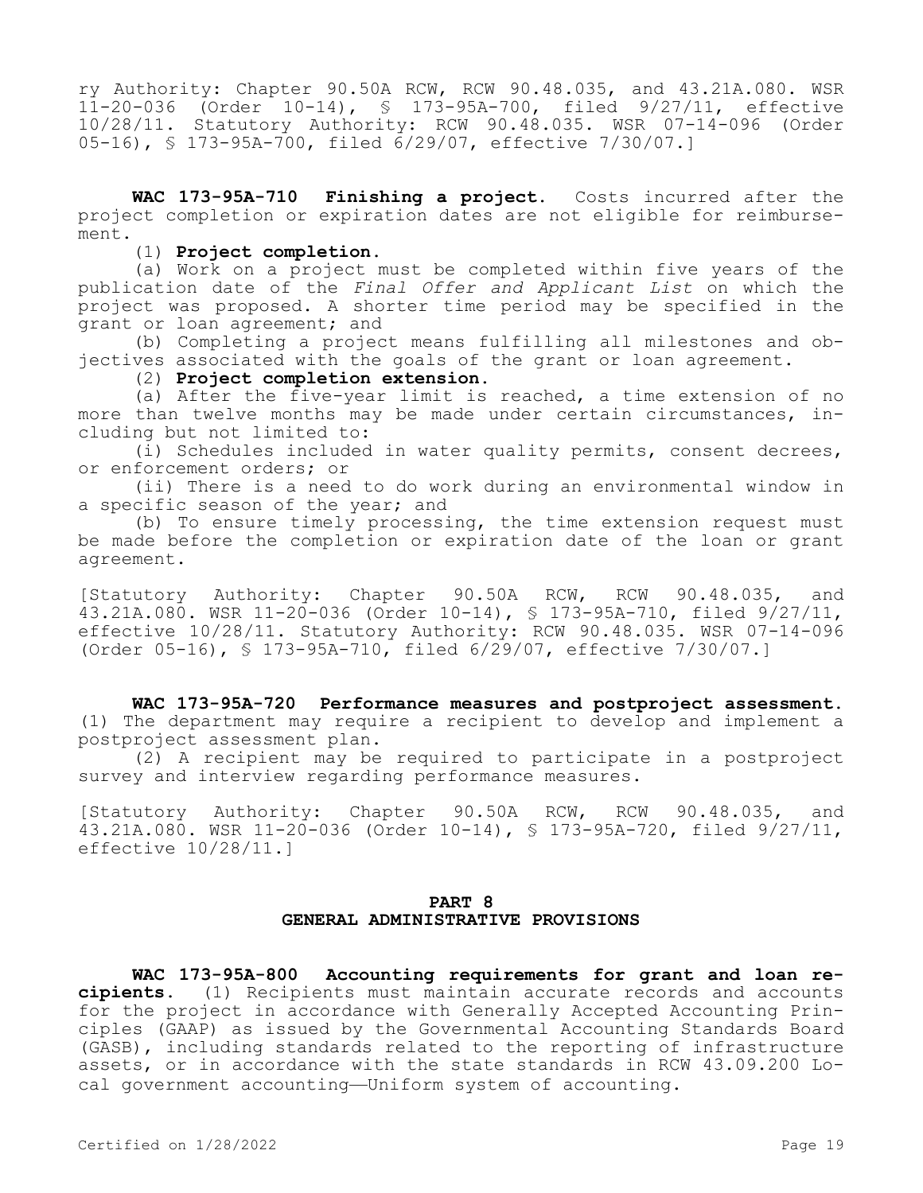ry Authority: Chapter 90.50A RCW, RCW 90.48.035, and 43.21A.080. WSR 11-20-036 (Order 10-14), § 173-95A-700, filed 9/27/11, effective 10/28/11. Statutory Authority: RCW 90.48.035. WSR 07-14-096 (Order 05-16), § 173-95A-700, filed 6/29/07, effective 7/30/07.]

**WAC 173-95A-710 Finishing a project.** Costs incurred after the project completion or expiration dates are not eligible for reimbursement.

(1) **Project completion.**

(a) Work on a project must be completed within five years of the publication date of the *Final Offer and Applicant List* on which the project was proposed. A shorter time period may be specified in the grant or loan agreement; and

(b) Completing a project means fulfilling all milestones and objectives associated with the goals of the grant or loan agreement.

(2) **Project completion extension.**

(a) After the five-year limit is reached, a time extension of no more than twelve months may be made under certain circumstances, including but not limited to:

(i) Schedules included in water quality permits, consent decrees, or enforcement orders; or

(ii) There is a need to do work during an environmental window in a specific season of the year; and

(b) To ensure timely processing, the time extension request must be made before the completion or expiration date of the loan or grant agreement.

[Statutory Authority: Chapter 90.50A RCW, RCW 90.48.035, and 43.21A.080. WSR 11-20-036 (Order 10-14), § 173-95A-710, filed 9/27/11, effective 10/28/11. Statutory Authority: RCW 90.48.035. WSR 07-14-096 (Order 05-16), § 173-95A-710, filed 6/29/07, effective 7/30/07.]

**WAC 173-95A-720 Performance measures and postproject assessment.**  (1) The department may require a recipient to develop and implement a postproject assessment plan.

(2) A recipient may be required to participate in a postproject survey and interview regarding performance measures.

[Statutory Authority: Chapter 90.50A RCW, RCW 90.48.035, and 43.21A.080. WSR 11-20-036 (Order 10-14), § 173-95A-720, filed 9/27/11, effective 10/28/11.]

# **PART 8 GENERAL ADMINISTRATIVE PROVISIONS**

**WAC 173-95A-800 Accounting requirements for grant and loan recipients.** (1) Recipients must maintain accurate records and accounts for the project in accordance with Generally Accepted Accounting Principles (GAAP) as issued by the Governmental Accounting Standards Board (GASB), including standards related to the reporting of infrastructure assets, or in accordance with the state standards in RCW 43.09.200 Local government accounting—Uniform system of accounting.